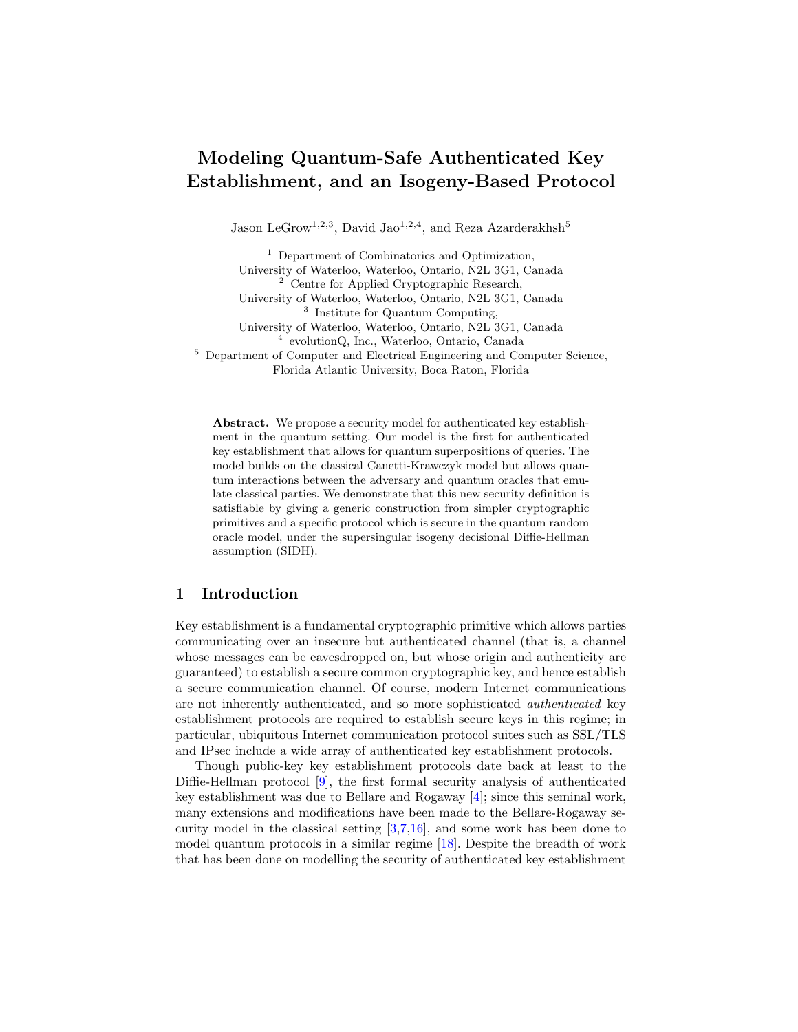# Modeling Quantum-Safe Authenticated Key Establishment, and an Isogeny-Based Protocol

Jason LeGrow<sup>1,2,3</sup>, David Jao<sup>1,2,4</sup>, and Reza Azarderakhsh<sup>5</sup>

 $^{\rm 1}$  Department of Combinatorics and Optimization, University of Waterloo, Waterloo, Ontario, N2L 3G1, Canada <sup>2</sup> Centre for Applied Cryptographic Research, University of Waterloo, Waterloo, Ontario, N2L 3G1, Canada 3 Institute for Quantum Computing, University of Waterloo, Waterloo, Ontario, N2L 3G1, Canada 4 evolutionQ, Inc., Waterloo, Ontario, Canada <sup>5</sup> Department of Computer and Electrical Engineering and Computer Science, Florida Atlantic University, Boca Raton, Florida

Abstract. We propose a security model for authenticated key establishment in the quantum setting. Our model is the first for authenticated key establishment that allows for quantum superpositions of queries. The model builds on the classical Canetti-Krawczyk model but allows quantum interactions between the adversary and quantum oracles that emulate classical parties. We demonstrate that this new security definition is satisfiable by giving a generic construction from simpler cryptographic primitives and a specific protocol which is secure in the quantum random oracle model, under the supersingular isogeny decisional Diffie-Hellman assumption (SIDH).

# 1 Introduction

Key establishment is a fundamental cryptographic primitive which allows parties communicating over an insecure but authenticated channel (that is, a channel whose messages can be eavesdropped on, but whose origin and authenticity are guaranteed) to establish a secure common cryptographic key, and hence establish a secure communication channel. Of course, modern Internet communications are not inherently authenticated, and so more sophisticated authenticated key establishment protocols are required to establish secure keys in this regime; in particular, ubiquitous Internet communication protocol suites such as SSL/TLS and IPsec include a wide array of authenticated key establishment protocols.

Though public-key key establishment protocols date back at least to the Diffie-Hellman protocol [\[9\]](#page-17-0), the first formal security analysis of authenticated key establishment was due to Bellare and Rogaway [\[4\]](#page-17-1); since this seminal work, many extensions and modifications have been made to the Bellare-Rogaway security model in the classical setting [\[3](#page-17-2)[,7,](#page-17-3)[16\]](#page-17-4), and some work has been done to model quantum protocols in a similar regime [\[18\]](#page-18-0). Despite the breadth of work that has been done on modelling the security of authenticated key establishment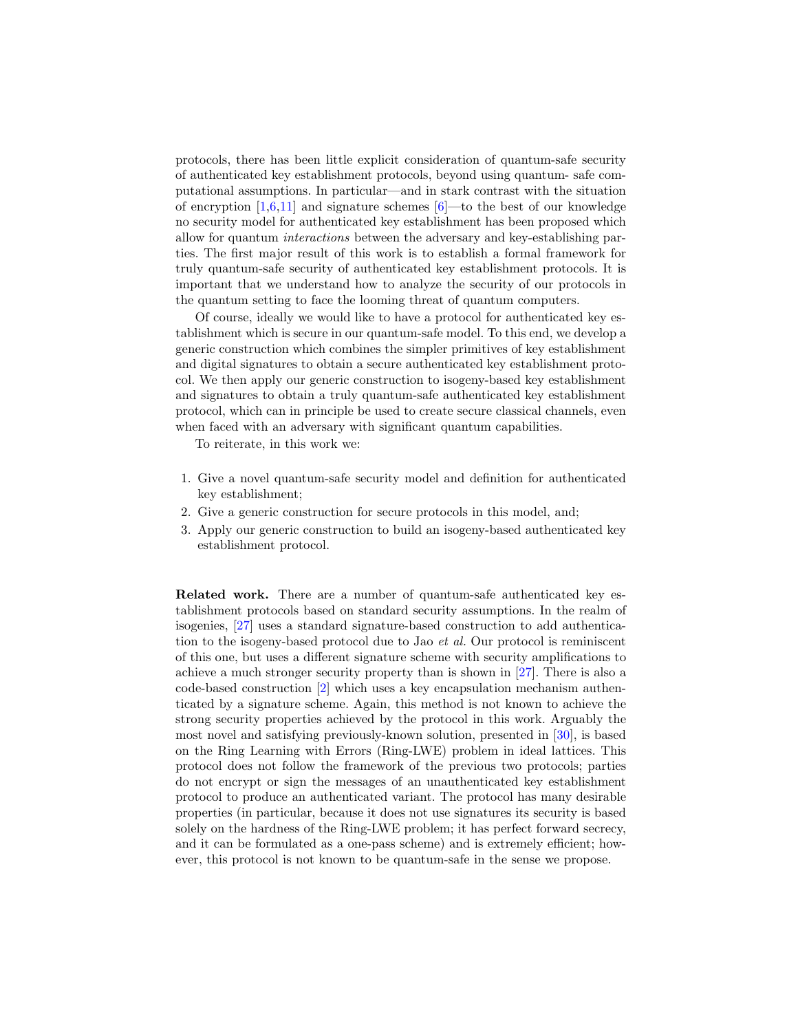protocols, there has been little explicit consideration of quantum-safe security of authenticated key establishment protocols, beyond using quantum- safe computational assumptions. In particular—and in stark contrast with the situation of encryption  $[1,6,11]$  $[1,6,11]$  $[1,6,11]$  and signature schemes  $[6]$ —to the best of our knowledge no security model for authenticated key establishment has been proposed which allow for quantum interactions between the adversary and key-establishing parties. The first major result of this work is to establish a formal framework for truly quantum-safe security of authenticated key establishment protocols. It is important that we understand how to analyze the security of our protocols in the quantum setting to face the looming threat of quantum computers.

Of course, ideally we would like to have a protocol for authenticated key establishment which is secure in our quantum-safe model. To this end, we develop a generic construction which combines the simpler primitives of key establishment and digital signatures to obtain a secure authenticated key establishment protocol. We then apply our generic construction to isogeny-based key establishment and signatures to obtain a truly quantum-safe authenticated key establishment protocol, which can in principle be used to create secure classical channels, even when faced with an adversary with significant quantum capabilities.

To reiterate, in this work we:

- 1. Give a novel quantum-safe security model and definition for authenticated key establishment;
- 2. Give a generic construction for secure protocols in this model, and;
- 3. Apply our generic construction to build an isogeny-based authenticated key establishment protocol.

Related work. There are a number of quantum-safe authenticated key establishment protocols based on standard security assumptions. In the realm of isogenies, [\[27\]](#page-18-1) uses a standard signature-based construction to add authentication to the isogeny-based protocol due to Jao et al. Our protocol is reminiscent of this one, but uses a different signature scheme with security amplifications to achieve a much stronger security property than is shown in [\[27\]](#page-18-1). There is also a code-based construction [\[2\]](#page-17-7) which uses a key encapsulation mechanism authenticated by a signature scheme. Again, this method is not known to achieve the strong security properties achieved by the protocol in this work. Arguably the most novel and satisfying previously-known solution, presented in [\[30\]](#page-18-2), is based on the Ring Learning with Errors (Ring-LWE) problem in ideal lattices. This protocol does not follow the framework of the previous two protocols; parties do not encrypt or sign the messages of an unauthenticated key establishment protocol to produce an authenticated variant. The protocol has many desirable properties (in particular, because it does not use signatures its security is based solely on the hardness of the Ring-LWE problem; it has perfect forward secrecy, and it can be formulated as a one-pass scheme) and is extremely efficient; however, this protocol is not known to be quantum-safe in the sense we propose.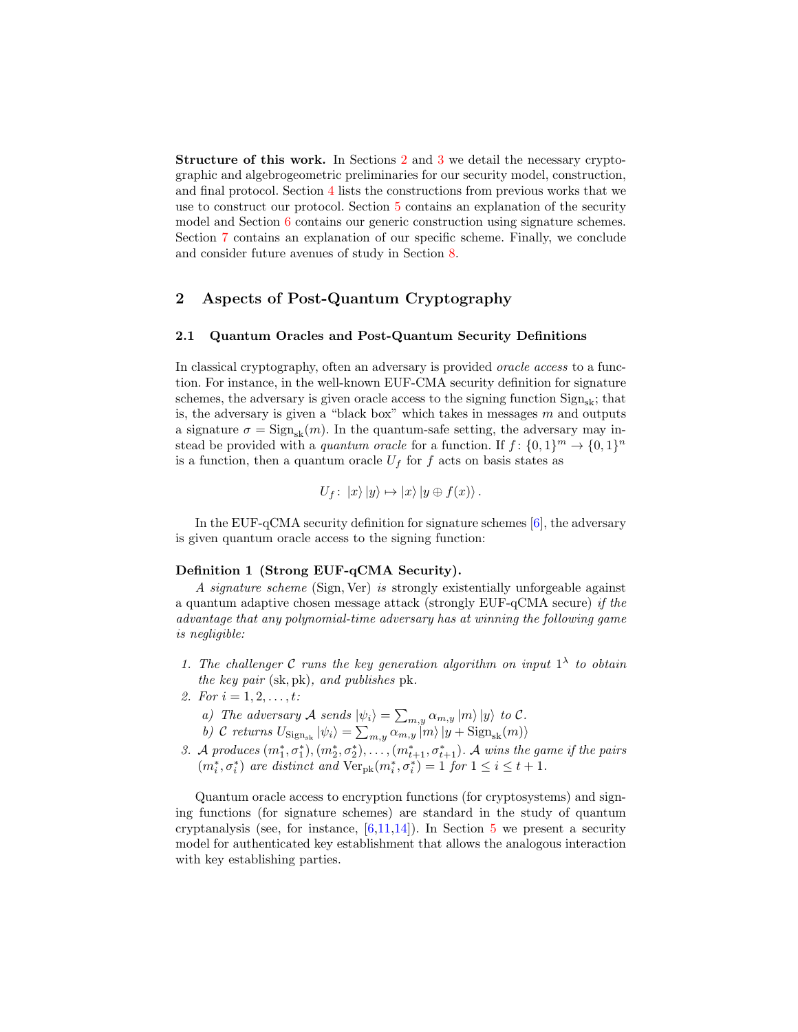Structure of this work. In Sections [2](#page-2-0) and [3](#page-3-0) we detail the necessary cryptographic and algebrogeometric preliminaries for our security model, construction, and final protocol. Section [4](#page-6-0) lists the constructions from previous works that we use to construct our protocol. Section [5](#page-7-0) contains an explanation of the security model and Section [6](#page-11-0) contains our generic construction using signature schemes. Section [7](#page-13-0) contains an explanation of our specific scheme. Finally, we conclude and consider future avenues of study in Section [8.](#page-16-1)

# <span id="page-2-0"></span>2 Aspects of Post-Quantum Cryptography

### 2.1 Quantum Oracles and Post-Quantum Security Definitions

In classical cryptography, often an adversary is provided oracle access to a function. For instance, in the well-known EUF-CMA security definition for signature schemes, the adversary is given oracle access to the signing function  $Sign_{el}$ ; that is, the adversary is given a "black box" which takes in messages  $m$  and outputs a signature  $\sigma = \text{Sign}_{sk}(m)$ . In the quantum-safe setting, the adversary may instead be provided with a *quantum oracle* for a function. If  $f: \{0,1\}^m \to \{0,1\}^n$ is a function, then a quantum oracle  $U_f$  for f acts on basis states as

$$
U_f: |x\rangle |y\rangle \mapsto |x\rangle |y \oplus f(x)\rangle.
$$

In the EUF-qCMA security definition for signature schemes [\[6\]](#page-17-5), the adversary is given quantum oracle access to the signing function:

#### Definition 1 (Strong EUF-qCMA Security).

A signature scheme (Sign, Ver) is strongly existentially unforgeable against a quantum adaptive chosen message attack (strongly EUF-qCMA secure) if the advantage that any polynomial-time adversary has at winning the following game is negligible:

- 1. The challenger C runs the key generation algorithm on input  $1^{\lambda}$  to obtain the key pair (sk, pk), and publishes pk.
- 2. For  $i = 1, 2, \ldots, t$ :
	- a) The adversary A sends  $|\psi_i\rangle = \sum_{m,y} \alpha_{m,y} |m\rangle |y\rangle$  to C.
	- b) C returns  $U_{\text{Sign}_{sk}} |\psi_i\rangle = \sum_{m,y} \alpha_{m,y} |m\rangle |y + \text{Sign}_{sk}(m)\rangle$
- 3. A produces  $(m_1^*, \sigma_1^*), (m_2^*, \sigma_2^*), \ldots, (m_{t+1}^*, \sigma_{t+1}^*)$ . A wins the game if the pairs  $(m_i^*, \sigma_i^*)$  are distinct and  $\text{Ver}_{pk}(m_i^*, \sigma_i^*) = 1$  for  $1 \leq i \leq t+1$ .

Quantum oracle access to encryption functions (for cryptosystems) and signing functions (for signature schemes) are standard in the study of quantum cryptanalysis (see, for instance,  $[6,11,14]$  $[6,11,14]$  $[6,11,14]$ ). In Section [5](#page-7-0) we present a security model for authenticated key establishment that allows the analogous interaction with key establishing parties.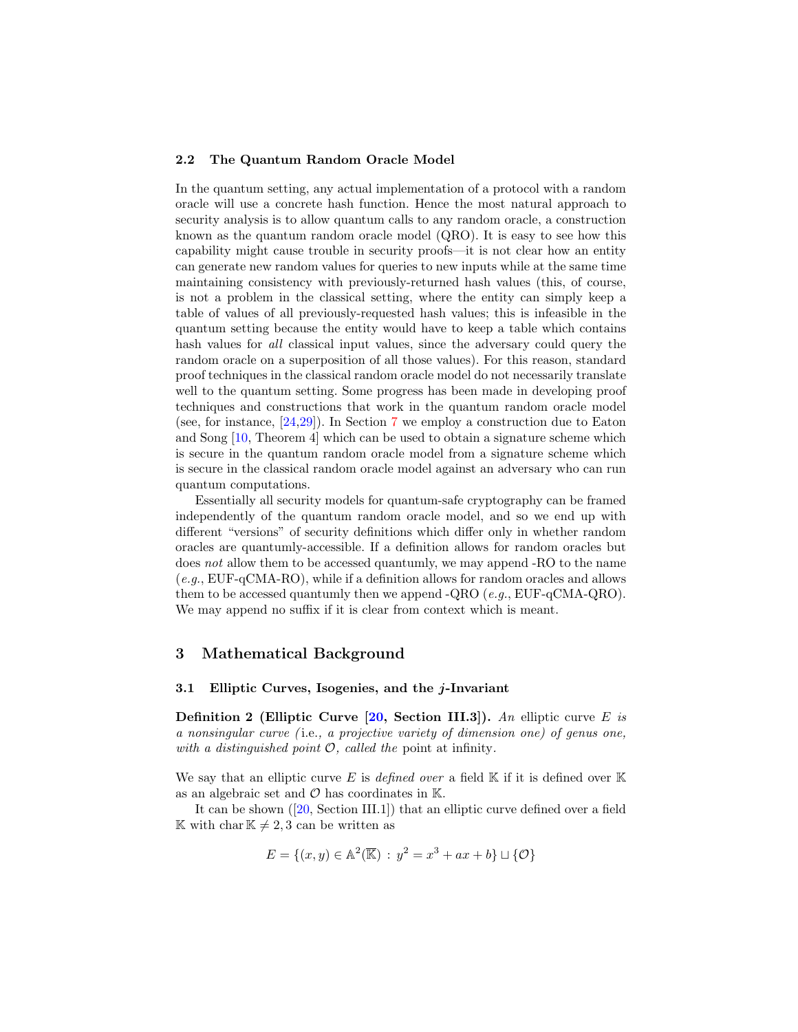### 2.2 The Quantum Random Oracle Model

In the quantum setting, any actual implementation of a protocol with a random oracle will use a concrete hash function. Hence the most natural approach to security analysis is to allow quantum calls to any random oracle, a construction known as the quantum random oracle model (QRO). It is easy to see how this capability might cause trouble in security proofs—it is not clear how an entity can generate new random values for queries to new inputs while at the same time maintaining consistency with previously-returned hash values (this, of course, is not a problem in the classical setting, where the entity can simply keep a table of values of all previously-requested hash values; this is infeasible in the quantum setting because the entity would have to keep a table which contains hash values for *all* classical input values, since the adversary could query the random oracle on a superposition of all those values). For this reason, standard proof techniques in the classical random oracle model do not necessarily translate well to the quantum setting. Some progress has been made in developing proof techniques and constructions that work in the quantum random oracle model (see, for instance, [\[24](#page-18-3)[,29\]](#page-18-4)). In Section [7](#page-13-0) we employ a construction due to Eaton and Song [\[10,](#page-17-9) Theorem 4] which can be used to obtain a signature scheme which is secure in the quantum random oracle model from a signature scheme which is secure in the classical random oracle model against an adversary who can run quantum computations.

Essentially all security models for quantum-safe cryptography can be framed independently of the quantum random oracle model, and so we end up with different "versions" of security definitions which differ only in whether random oracles are quantumly-accessible. If a definition allows for random oracles but does not allow them to be accessed quantumly, we may append -RO to the name (e.g., EUF-qCMA-RO), while if a definition allows for random oracles and allows them to be accessed quantumly then we append -QRO ( $e.g., EUF-qCMA-QRO$ ). We may append no suffix if it is clear from context which is meant.

### <span id="page-3-0"></span>3 Mathematical Background

#### 3.1 Elliptic Curves, Isogenies, and the  $j$ -Invariant

**Definition 2 (Elliptic Curve**  $\left[20, \text{Section III.3}\right]$  $\left[20, \text{Section III.3}\right]$  $\left[20, \text{Section III.3}\right]$ **).** An elliptic curve E is a nonsingular curve ( i.e., a projective variety of dimension one) of genus one, with a distinguished point  $\mathcal{O}$ , called the point at infinity.

We say that an elliptic curve E is defined over a field  $\mathbb K$  if it is defined over  $\mathbb K$ as an algebraic set and  $\mathcal O$  has coordinates in  $\mathbb K$ .

It can be shown ([\[20,](#page-18-5) Section III.1]) that an elliptic curve defined over a field K with char  $K \neq 2, 3$  can be written as

$$
E = \{(x, y) \in \mathbb{A}^2(\overline{\mathbb{K}}) : y^2 = x^3 + ax + b\} \sqcup \{\mathcal{O}\}\
$$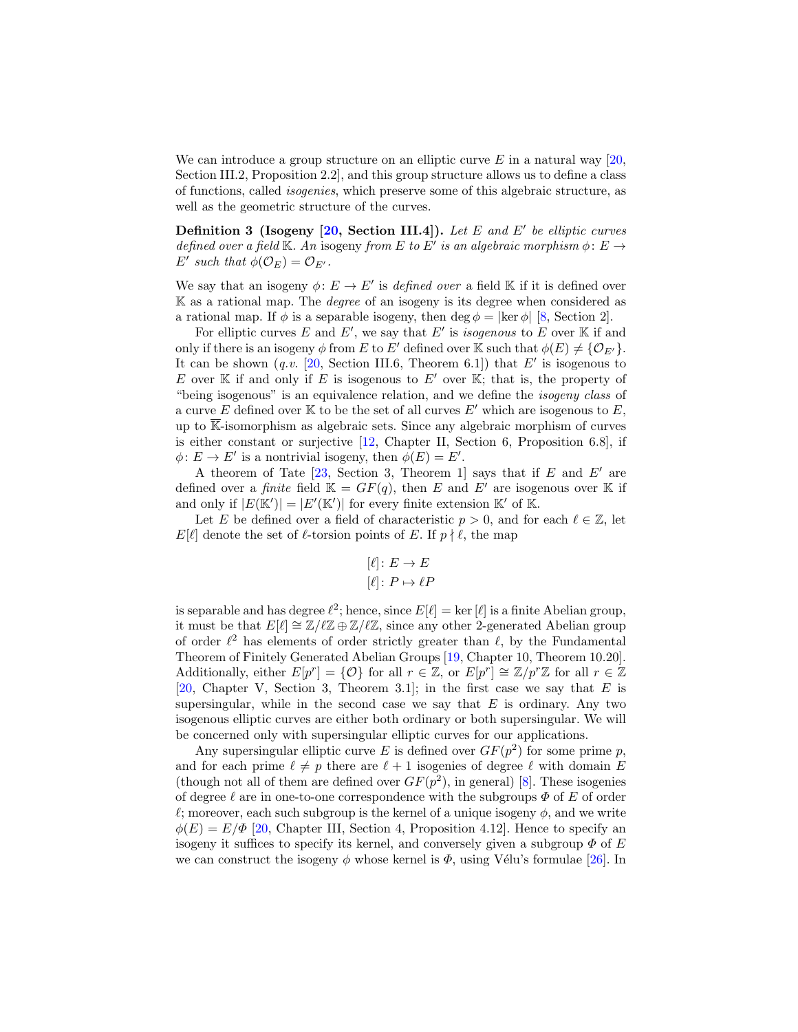We can introduce a group structure on an elliptic curve  $E$  in a natural way [\[20,](#page-18-5) Section III.2, Proposition 2.2], and this group structure allows us to define a class of functions, called isogenies, which preserve some of this algebraic structure, as well as the geometric structure of the curves.

Definition 3 (Isogeny  $[20, \text{ Section III.4}].$  $[20, \text{ Section III.4}].$  Let E and E' be elliptic curves defined over a field K. An isogeny from E to E' is an algebraic morphism  $\phi: E \to$ E' such that  $\phi(\mathcal{O}_E) = \mathcal{O}_{E'}$ .

We say that an isogeny  $\phi: E \to E'$  is defined over a field K if it is defined over  $K$  as a rational map. The *degree* of an isogeny is its degree when considered as a rational map. If  $\phi$  is a separable isogeny, then deg  $\phi = |\text{ker } \phi|$  [\[8,](#page-17-10) Section 2].

For elliptic curves E and E', we say that E' is *isogenous* to E over K if and only if there is an isogeny  $\phi$  from E to E' defined over K such that  $\phi(E) \neq {\mathcal{O}_{E'}}$ . It can be shown  $(q.v. [20, Section III.6, Theorem 6.1])$  $(q.v. [20, Section III.6, Theorem 6.1])$  $(q.v. [20, Section III.6, Theorem 6.1])$  that E' is isogenous to E over K if and only if E is isogenous to E' over K; that is, the property of "being isogenous" is an equivalence relation, and we define the isogeny class of a curve E defined over K to be the set of all curves  $E'$  which are isogenous to E, up to  $\overline{\mathbb{K}}$ -isomorphism as algebraic sets. Since any algebraic morphism of curves is either constant or surjective [\[12,](#page-17-11) Chapter II, Section 6, Proposition 6.8], if  $\phi: E \to E'$  is a nontrivial isogeny, then  $\phi(E) = E'$ .

A theorem of Tate  $[23, Section 3, Theorem 1]$  $[23, Section 3, Theorem 1]$  says that if E and E' are defined over a *finite* field  $\mathbb{K} = GF(q)$ , then E and E' are isogenous over K if and only if  $|E(\mathbb{K}')| = |E'(\mathbb{K}')|$  for every finite extension  $\mathbb{K}'$  of  $\mathbb{K}$ .

Let E be defined over a field of characteristic  $p > 0$ , and for each  $\ell \in \mathbb{Z}$ , let  $E[\ell]$  denote the set of  $\ell$ -torsion points of E. If  $p \nmid \ell$ , the map

$$
[\ell]: E \to E
$$

$$
[\ell]: P \mapsto \ell P
$$

is separable and has degree  $\ell^2$ ; hence, since  $E[\ell] = \ker [\ell]$  is a finite Abelian group, it must be that  $E[\ell] \cong \mathbb{Z}/\ell\mathbb{Z} \oplus \mathbb{Z}/\ell\mathbb{Z}$ , since any other 2-generated Abelian group of order  $\ell^2$  has elements of order strictly greater than  $\ell$ , by the Fundamental Theorem of Finitely Generated Abelian Groups [\[19,](#page-18-7) Chapter 10, Theorem 10.20]. Additionally, either  $E[p^r] = \{O\}$  for all  $r \in \mathbb{Z}$ , or  $E[p^r] \cong \mathbb{Z}/p^r\mathbb{Z}$  for all  $r \in \mathbb{Z}$  $[20,$  Chapter V, Section 3, Theorem 3.1]; in the first case we say that E is supersingular, while in the second case we say that  $E$  is ordinary. Any two isogenous elliptic curves are either both ordinary or both supersingular. We will be concerned only with supersingular elliptic curves for our applications.

Any supersingular elliptic curve E is defined over  $GF(p^2)$  for some prime p, and for each prime  $\ell \neq p$  there are  $\ell + 1$  isogenies of degree  $\ell$  with domain E (though not all of them are defined over  $GF(p^2)$ , in general) [\[8\]](#page-17-10). These isogenies of degree  $\ell$  are in one-to-one correspondence with the subgroups  $\Phi$  of E of order  $\ell$ ; moreover, each such subgroup is the kernel of a unique isogeny  $\phi$ , and we write  $\phi(E) = E/\Phi$  [\[20,](#page-18-5) Chapter III, Section 4, Proposition 4.12]. Hence to specify an isogeny it suffices to specify its kernel, and conversely given a subgroup  $\Phi$  of E we can construct the isogeny  $\phi$  whose kernel is  $\Phi$ , using Vélu's formulae [\[26\]](#page-18-8). In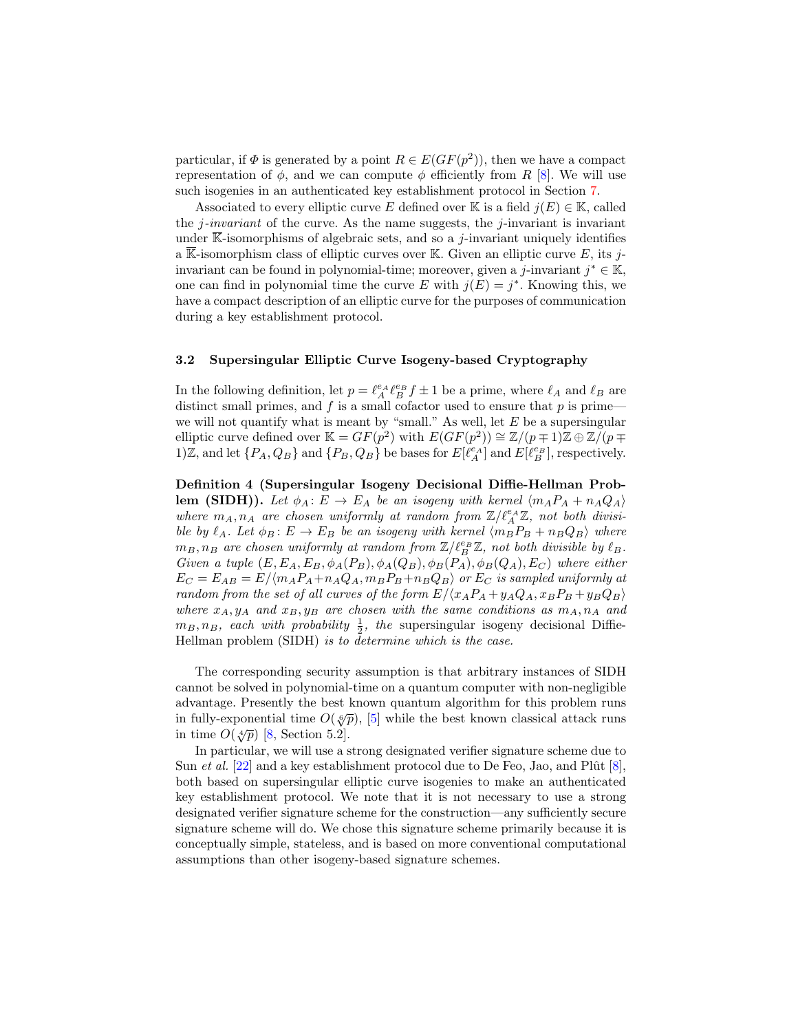particular, if  $\Phi$  is generated by a point  $R \in E(GF(p^2))$ , then we have a compact representation of  $\phi$ , and we can compute  $\phi$  efficiently from R [\[8\]](#page-17-10). We will use such isogenies in an authenticated key establishment protocol in Section [7.](#page-13-0)

Associated to every elliptic curve E defined over K is a field  $j(E) \in \mathbb{K}$ , called the *j*-invariant of the curve. As the name suggests, the *j*-invariant is invariant under  $\overline{\mathbb{K}}$ -isomorphisms of algebraic sets, and so a *j*-invariant uniquely identifies a  $\overline{\mathbb{K}}$ -isomorphism class of elliptic curves over  $\mathbb{K}$ . Given an elliptic curve E, its jinvariant can be found in polynomial-time; moreover, given a j-invariant  $j^* \in \mathbb{K}$ , one can find in polynomial time the curve E with  $j(E) = j^*$ . Knowing this, we have a compact description of an elliptic curve for the purposes of communication during a key establishment protocol.

### 3.2 Supersingular Elliptic Curve Isogeny-based Cryptography

In the following definition, let  $p = \ell_A^{e_A} \ell_B^{e_B} f \pm 1$  be a prime, where  $\ell_A$  and  $\ell_B$  are distinct small primes, and  $f$  is a small cofactor used to ensure that  $p$  is prime we will not quantify what is meant by "small." As well, let  $E$  be a supersingular elliptic curve defined over  $\mathbb{K} = GF(p^2)$  with  $E(GF(p^2)) \cong \mathbb{Z}/(p \mp 1)\mathbb{Z} \oplus \mathbb{Z}/(p \mp 1)$ 1)Z, and let  $\{P_A, Q_B\}$  and  $\{P_B, Q_B\}$  be bases for  $E[\ell_A^{\mathcal{C}_A}]$  and  $E[\ell_B^{\mathcal{C}_B}]$ , respectively.

Definition 4 (Supersingular Isogeny Decisional Diffie-Hellman Problem (SIDH)). Let  $\phi_A : E \to E_A$  be an isogeny with kernel  $\langle m_A P_A + n_A Q_A \rangle$ where  $m_A, n_A$  are chosen uniformly at random from  $\mathbb{Z}/\ell_A^{e_A}\mathbb{Z}$ , not both divisible by  $\ell_A$ . Let  $\phi_B : E \to E_B$  be an isogeny with kernel  $\langle m_B P_B + n_B Q_B \rangle$  where  $m_B, n_B$  are chosen uniformly at random from  $\mathbb{Z}/\ell_B^{e_B}\mathbb{Z}$ , not both divisible by  $\ell_B$ . Given a tuple  $(E, E_A, E_B, \phi_A(P_B), \phi_A(Q_B), \phi_B(P_A), \phi_B(Q_A), E_C)$  where either  $E_C = E_{AB} = E / \langle m_A P_A + n_A Q_A, m_B P_B + n_B Q_B \rangle$  or  $E_C$  is sampled uniformly at random from the set of all curves of the form  $E/(x_A P_A + y_A Q_A, x_B P_B + y_B Q_B)$ where  $x_A, y_A$  and  $x_B, y_B$  are chosen with the same conditions as  $m_A, n_A$  and  $m_B, n_B$ , each with probability  $\frac{1}{2}$ , the supersingular isogeny decisional Diffie-Hellman problem (SIDH) is to determine which is the case.

The corresponding security assumption is that arbitrary instances of SIDH cannot be solved in polynomial-time on a quantum computer with non-negligible advantage. Presently the best known quantum algorithm for this problem runs  $\alpha$ ivantage. I Itselftry the best known quantum argorium for this problem runs<br>in fully-exponential time  $O(\sqrt[6]{p})$ , [\[5\]](#page-17-12) while the best known classical attack runs in time  $O(\sqrt[4]{p})$  [\[8,](#page-17-10) Section 5.2].

In particular, we will use a strong designated verifier signature scheme due to Sun *et al.* [\[22\]](#page-18-9) and a key establishment protocol due to De Feo, Jao, and Plût  $[8]$ , both based on supersingular elliptic curve isogenies to make an authenticated key establishment protocol. We note that it is not necessary to use a strong designated verifier signature scheme for the construction—any sufficiently secure signature scheme will do. We chose this signature scheme primarily because it is conceptually simple, stateless, and is based on more conventional computational assumptions than other isogeny-based signature schemes.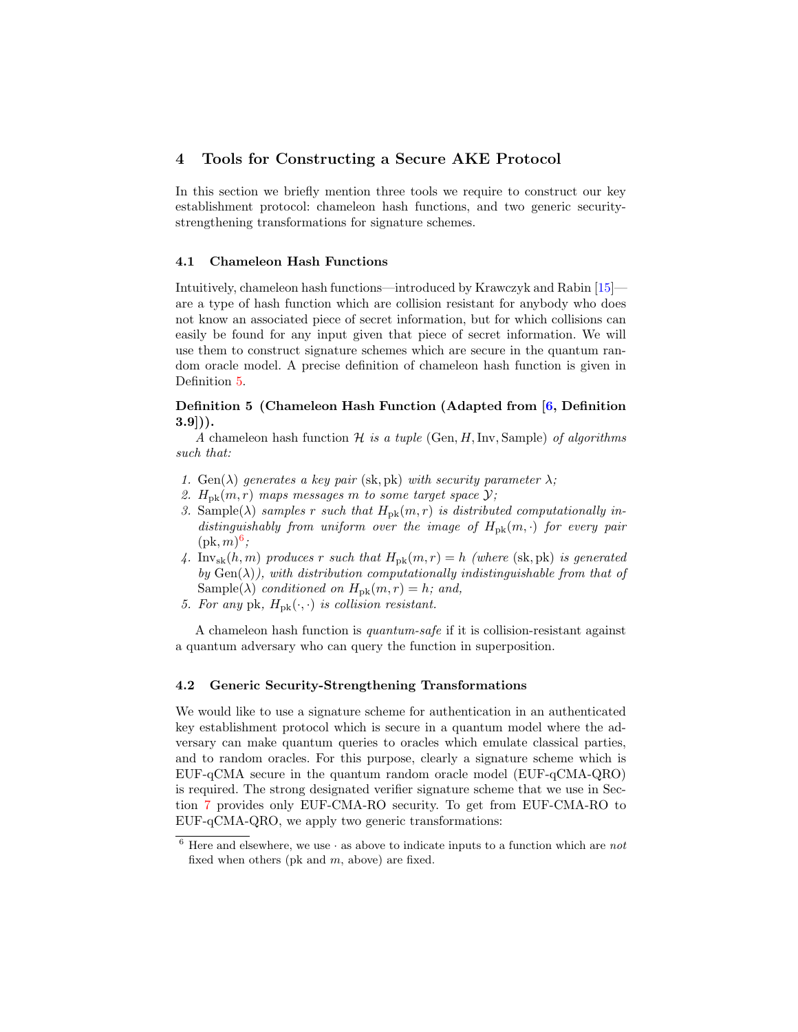## <span id="page-6-0"></span>4 Tools for Constructing a Secure AKE Protocol

In this section we briefly mention three tools we require to construct our key establishment protocol: chameleon hash functions, and two generic securitystrengthening transformations for signature schemes.

### 4.1 Chameleon Hash Functions

Intuitively, chameleon hash functions—introduced by Krawczyk and Rabin [\[15\]](#page-17-13) are a type of hash function which are collision resistant for anybody who does not know an associated piece of secret information, but for which collisions can easily be found for any input given that piece of secret information. We will use them to construct signature schemes which are secure in the quantum random oracle model. A precise definition of chameleon hash function is given in Definition [5.](#page-6-1)

### <span id="page-6-1"></span>Definition 5 (Chameleon Hash Function (Adapted from [\[6,](#page-17-5) Definition  $3.9$ ]).

A chameleon hash function  $H$  is a tuple (Gen, H, Inv, Sample) of algorithms such that:

- 1. Gen( $\lambda$ ) generates a key pair (sk, pk) with security parameter  $\lambda$ ;
- 2.  $H_{\text{pk}}(m,r)$  maps messages m to some target space  $\mathcal{Y}$ ;
- 3. Sample( $\lambda$ ) samples r such that  $H_{\text{pk}}(m, r)$  is distributed computationally indistinguishably from uniform over the image of  $H_{\rm pk}(m, \cdot)$  for every pair  $(\text{pk}, m)^6;$  $(\text{pk}, m)^6;$  $(\text{pk}, m)^6;$
- 4. Inv<sub>sk</sub> $(h, m)$  produces r such that  $H_{\text{pk}}(m, r) = h$  (where (sk, pk) is generated by  $Gen(\lambda)$ , with distribution computationally indistinguishable from that of Sample( $\lambda$ ) conditioned on  $H_{\rm pk}(m, r) = h$ ; and,
- 5. For any pk,  $H_{\rm pk}(\cdot, \cdot)$  is collision resistant.

A chameleon hash function is quantum-safe if it is collision-resistant against a quantum adversary who can query the function in superposition.

#### 4.2 Generic Security-Strengthening Transformations

We would like to use a signature scheme for authentication in an authenticated key establishment protocol which is secure in a quantum model where the adversary can make quantum queries to oracles which emulate classical parties, and to random oracles. For this purpose, clearly a signature scheme which is EUF-qCMA secure in the quantum random oracle model (EUF-qCMA-QRO) is required. The strong designated verifier signature scheme that we use in Section [7](#page-13-0) provides only EUF-CMA-RO security. To get from EUF-CMA-RO to EUF-qCMA-QRO, we apply two generic transformations:

<span id="page-6-2"></span> $6$  Here and elsewhere, we use  $\cdot$  as above to indicate inputs to a function which are not fixed when others (pk and  $m$ , above) are fixed.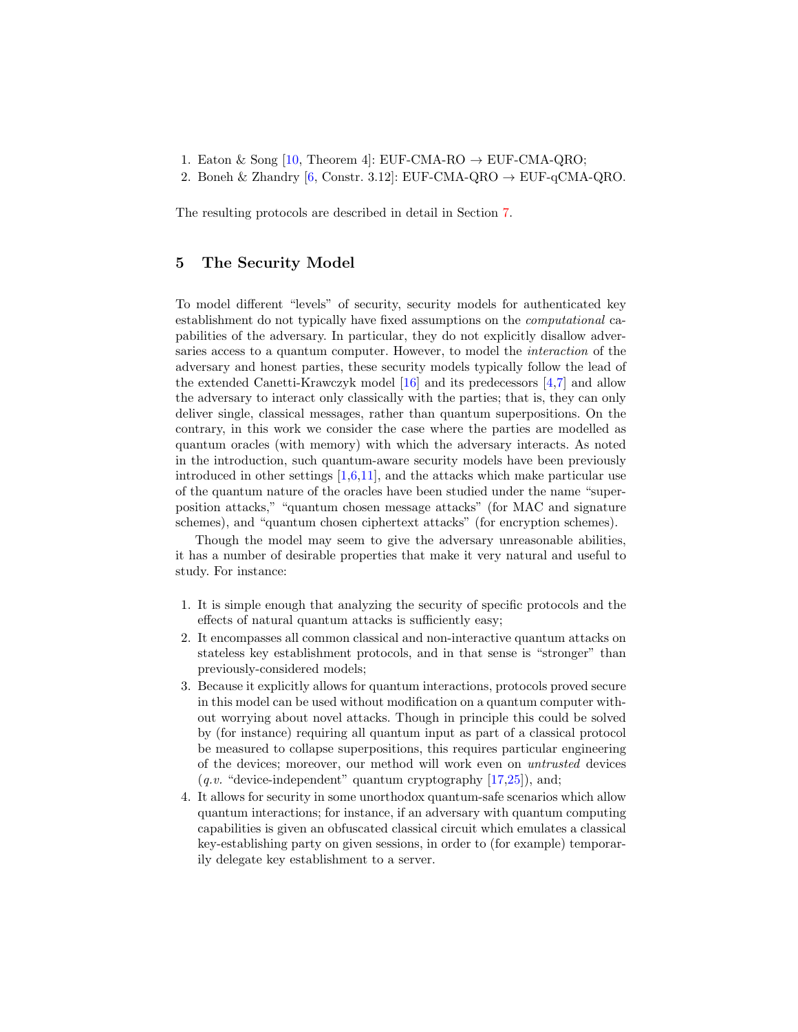- 1. Eaton & Song [\[10,](#page-17-9) Theorem 4]: EUF-CMA-RO  $\rightarrow$  EUF-CMA-QRO;
- 2. Boneh & Zhandry [\[6,](#page-17-5) Constr. 3.12]: EUF-CMA-QRO  $\rightarrow$  EUF-qCMA-QRO.

The resulting protocols are described in detail in Section [7.](#page-13-0)

### <span id="page-7-0"></span>5 The Security Model

To model different "levels" of security, security models for authenticated key establishment do not typically have fixed assumptions on the computational capabilities of the adversary. In particular, they do not explicitly disallow adversaries access to a quantum computer. However, to model the interaction of the adversary and honest parties, these security models typically follow the lead of the extended Canetti-Krawczyk model [\[16\]](#page-17-4) and its predecessors [\[4](#page-17-1)[,7\]](#page-17-3) and allow the adversary to interact only classically with the parties; that is, they can only deliver single, classical messages, rather than quantum superpositions. On the contrary, in this work we consider the case where the parties are modelled as quantum oracles (with memory) with which the adversary interacts. As noted in the introduction, such quantum-aware security models have been previously introduced in other settings  $[1,6,11]$  $[1,6,11]$  $[1,6,11]$ , and the attacks which make particular use of the quantum nature of the oracles have been studied under the name "superposition attacks," "quantum chosen message attacks" (for MAC and signature schemes), and "quantum chosen ciphertext attacks" (for encryption schemes).

Though the model may seem to give the adversary unreasonable abilities, it has a number of desirable properties that make it very natural and useful to study. For instance:

- 1. It is simple enough that analyzing the security of specific protocols and the effects of natural quantum attacks is sufficiently easy;
- 2. It encompasses all common classical and non-interactive quantum attacks on stateless key establishment protocols, and in that sense is "stronger" than previously-considered models;
- 3. Because it explicitly allows for quantum interactions, protocols proved secure in this model can be used without modification on a quantum computer without worrying about novel attacks. Though in principle this could be solved by (for instance) requiring all quantum input as part of a classical protocol be measured to collapse superpositions, this requires particular engineering of the devices; moreover, our method will work even on untrusted devices  $(q.v.$  "device-independent" quantum cryptography  $[17,25]$  $[17,25]$ ), and;
- 4. It allows for security in some unorthodox quantum-safe scenarios which allow quantum interactions; for instance, if an adversary with quantum computing capabilities is given an obfuscated classical circuit which emulates a classical key-establishing party on given sessions, in order to (for example) temporarily delegate key establishment to a server.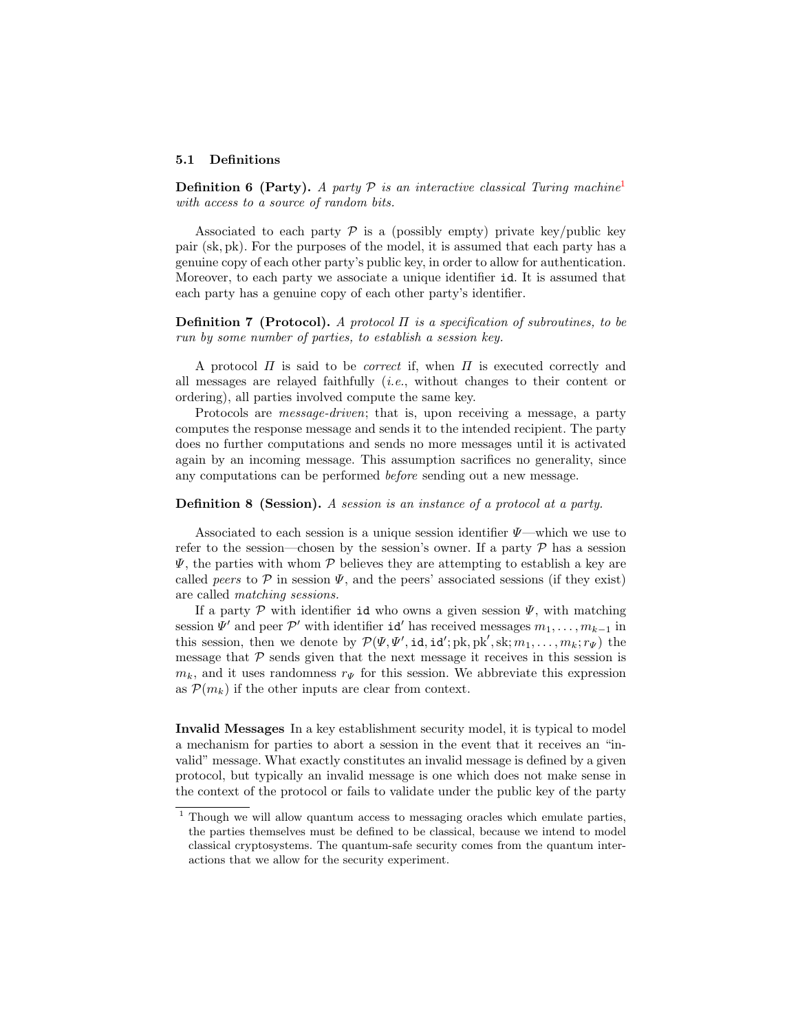#### 5.1 Definitions

**Definition 6 (Party).** A party  $P$  is an interactive classical Turing machine<sup>[1](#page-8-0)</sup> with access to a source of random bits.

Associated to each party  $\mathcal P$  is a (possibly empty) private key/public key pair (sk, pk). For the purposes of the model, it is assumed that each party has a genuine copy of each other party's public key, in order to allow for authentication. Moreover, to each party we associate a unique identifier id. It is assumed that each party has a genuine copy of each other party's identifier.

**Definition 7 (Protocol).** A protocol  $\Pi$  is a specification of subroutines, to be run by some number of parties, to establish a session key.

A protocol  $\Pi$  is said to be *correct* if, when  $\Pi$  is executed correctly and all messages are relayed faithfully (i.e., without changes to their content or ordering), all parties involved compute the same key.

Protocols are message-driven; that is, upon receiving a message, a party computes the response message and sends it to the intended recipient. The party does no further computations and sends no more messages until it is activated again by an incoming message. This assumption sacrifices no generality, since any computations can be performed before sending out a new message.

Definition 8 (Session). A session is an instance of a protocol at a party.

Associated to each session is a unique session identifier  $\Psi$ —which we use to refer to the session—chosen by the session's owner. If a party  $\mathcal P$  has a session  $\Psi$ , the parties with whom P believes they are attempting to establish a key are called peers to  $P$  in session  $\Psi$ , and the peers' associated sessions (if they exist) are called matching sessions.

If a party  $\mathcal P$  with identifier id who owns a given session  $\Psi$ , with matching session  $\Psi'$  and peer  $\mathcal{P}'$  with identifier **id**' has received messages  $m_1, \ldots, m_{k-1}$  in this session, then we denote by  $\mathcal{P}(\Psi, \Psi', \text{id}, \text{id'}; \text{pk}, \text{pk}', \text{sk}; m_1, \ldots, m_k; r_{\Psi})$  the message that  $P$  sends given that the next message it receives in this session is  $m_k$ , and it uses randomness  $r_{\Psi}$  for this session. We abbreviate this expression as  $\mathcal{P}(m_k)$  if the other inputs are clear from context.

Invalid Messages In a key establishment security model, it is typical to model a mechanism for parties to abort a session in the event that it receives an "invalid" message. What exactly constitutes an invalid message is defined by a given protocol, but typically an invalid message is one which does not make sense in the context of the protocol or fails to validate under the public key of the party

<span id="page-8-0"></span> $1$  Though we will allow quantum access to messaging oracles which emulate parties, the parties themselves must be defined to be classical, because we intend to model classical cryptosystems. The quantum-safe security comes from the quantum interactions that we allow for the security experiment.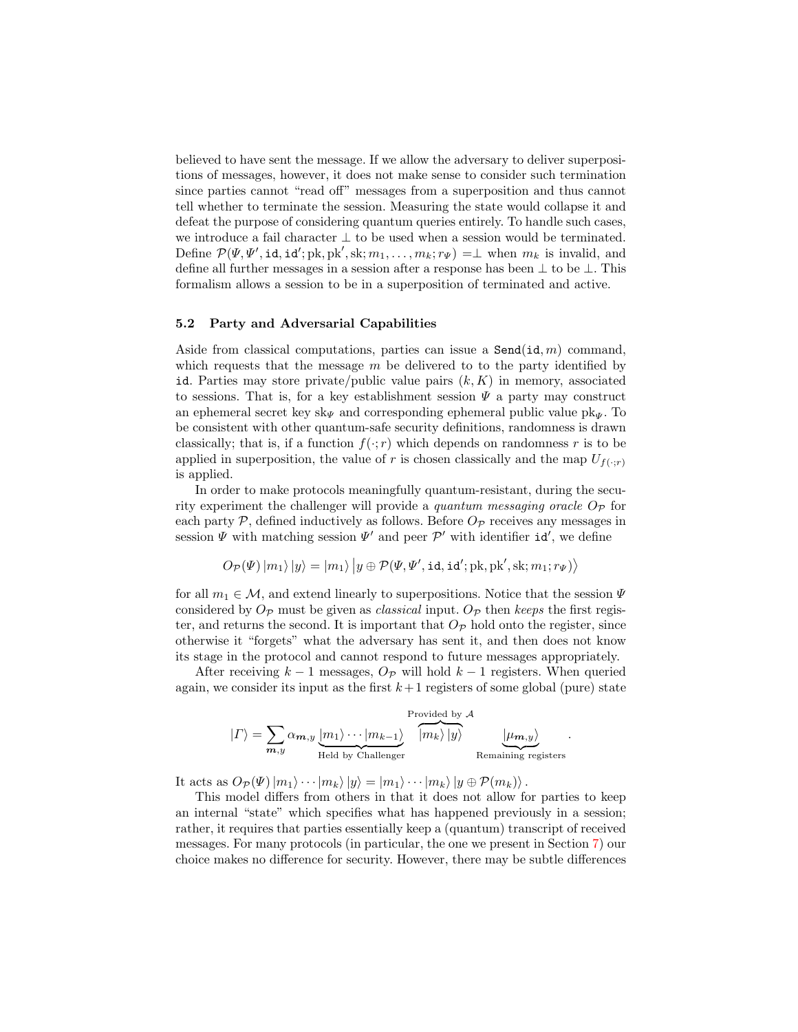believed to have sent the message. If we allow the adversary to deliver superpositions of messages, however, it does not make sense to consider such termination since parties cannot "read off" messages from a superposition and thus cannot tell whether to terminate the session. Measuring the state would collapse it and defeat the purpose of considering quantum queries entirely. To handle such cases, we introduce a fail character  $\perp$  to be used when a session would be terminated. Define  $\mathcal{P}(\Psi, \Psi', \text{id}, \text{id'}; \text{pk}, \text{pk}', \text{sk}; m_1, \dots, m_k; r_{\Psi}) = \perp$  when  $m_k$  is invalid, and define all further messages in a session after a response has been  $\perp$  to be  $\perp$ . This formalism allows a session to be in a superposition of terminated and active.

#### 5.2 Party and Adversarial Capabilities

Aside from classical computations, parties can issue a  $\texttt{Send}(id, m)$  command, which requests that the message  $m$  be delivered to to the party identified by id. Parties may store private/public value pairs  $(k, K)$  in memory, associated to sessions. That is, for a key establishment session  $\Psi$  a party may construct an ephemeral secret key sk<sub>Ψ</sub> and corresponding ephemeral public value  $pk_{\Psi}$ . To be consistent with other quantum-safe security definitions, randomness is drawn classically; that is, if a function  $f(\cdot; r)$  which depends on randomness r is to be applied in superposition, the value of r is chosen classically and the map  $U_{f(\cdot;r)}$ is applied.

In order to make protocols meaningfully quantum-resistant, during the security experiment the challenger will provide a quantum messaging oracle  $O_{\mathcal{P}}$  for each party  $P$ , defined inductively as follows. Before  $O_P$  receives any messages in session  $\Psi$  with matching session  $\Psi'$  and peer  $\mathcal{P}'$  with identifier **id**', we define

$$
O_{\mathcal{P}}(\Psi) |m_1\rangle |y\rangle = |m_1\rangle |y \oplus \mathcal{P}(\Psi, \Psi', \texttt{id}, \texttt{id}'; \text{pk}, \text{pk}', \text{sk}; m_1; r_{\Psi})\rangle
$$

for all  $m_1 \in \mathcal{M}$ , and extend linearly to superpositions. Notice that the session  $\Psi$ considered by  $O_{\mathcal{P}}$  must be given as *classical* input.  $O_{\mathcal{P}}$  then keeps the first register, and returns the second. It is important that  $O_{\mathcal{P}}$  hold onto the register, since otherwise it "forgets" what the adversary has sent it, and then does not know its stage in the protocol and cannot respond to future messages appropriately.

After receiving  $k-1$  messages,  $O_{\mathcal{P}}$  will hold  $k-1$  registers. When queried again, we consider its input as the first  $k+1$  registers of some global (pure) state

$$
|\Gamma\rangle = \sum_{\substack{\boldsymbol{m},y}} \alpha_{\boldsymbol{m},y} \underbrace{|m_1\rangle \cdots |m_{k-1}\rangle}_{\text{Held by Challenger}} \overbrace{|m_k\rangle |y\rangle}^{\text{Provided by } A} \underbrace{| \mu_{\boldsymbol{m},y}\rangle}_{\text{Remaining registers}}.
$$

It acts as  $O_{\mathcal{P}}(\Psi)|m_1\rangle\cdots|m_k\rangle|y\rangle=|m_1\rangle\cdots|m_k\rangle|y\oplus \mathcal{P}(m_k)\rangle.$ 

This model differs from others in that it does not allow for parties to keep an internal "state" which specifies what has happened previously in a session; rather, it requires that parties essentially keep a (quantum) transcript of received messages. For many protocols (in particular, the one we present in Section [7\)](#page-13-0) our choice makes no difference for security. However, there may be subtle differences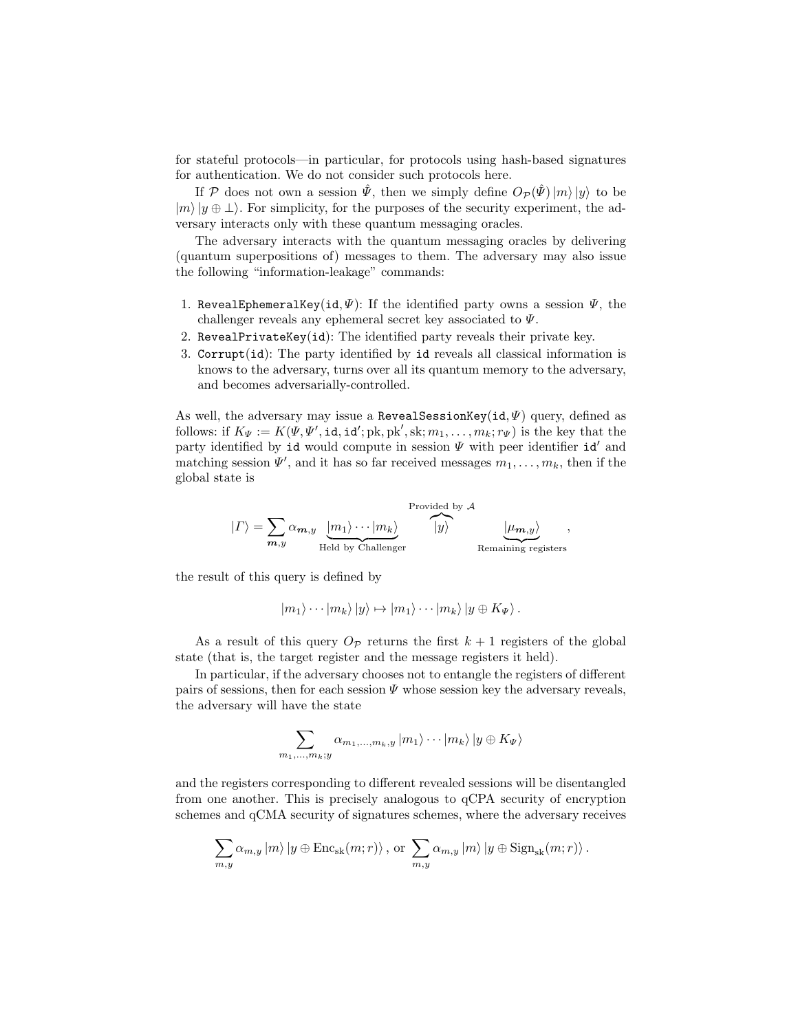for stateful protocols—in particular, for protocols using hash-based signatures for authentication. We do not consider such protocols here.

If P does not own a session  $\hat{\Psi}$ , then we simply define  $O_{\mathcal{P}}(\hat{\Psi})|m\rangle |y\rangle$  to be  $|m\rangle|y \oplus \perp\rangle$ . For simplicity, for the purposes of the security experiment, the adversary interacts only with these quantum messaging oracles.

The adversary interacts with the quantum messaging oracles by delivering (quantum superpositions of) messages to them. The adversary may also issue the following "information-leakage" commands:

- 1. RevealEphemeralKey(id,  $\Psi$ ): If the identified party owns a session  $\Psi$ , the challenger reveals any ephemeral secret key associated to Ψ.
- 2. RevealPrivateKey(id): The identified party reveals their private key.
- 3. Corrupt(id): The party identified by id reveals all classical information is knows to the adversary, turns over all its quantum memory to the adversary, and becomes adversarially-controlled.

As well, the adversary may issue a RevealSessionKey(id,  $\Psi$ ) query, defined as follows: if  $K_{\Psi} := K(\Psi, \Psi', \text{id}, \text{id'}; \text{pk}, \text{pk}', \text{sk}; m_1, \ldots, m_k; r_{\Psi})$  is the key that the party identified by id would compute in session  $\Psi$  with peer identifier id' and matching session  $\Psi'$ , and it has so far received messages  $m_1, \ldots, m_k$ , then if the global state is

$$
|\Gamma\rangle = \sum_{\substack{\boldsymbol{m},y}} \alpha_{\boldsymbol{m},y} \underbrace{|m_1\rangle \cdots |m_k\rangle}_{\text{Held by Challenger}} \overbrace{|y\rangle}^{\text{Provided by } \mathcal{A}} \underbrace{|\mu_{\boldsymbol{m},y}\rangle}_{\text{Remaining registers}},
$$

the result of this query is defined by

$$
|m_1\rangle\cdots|m_k\rangle|y\rangle \mapsto |m_1\rangle\cdots|m_k\rangle|y \oplus K_{\Psi}\rangle.
$$

As a result of this query  $O_{\mathcal{P}}$  returns the first  $k+1$  registers of the global state (that is, the target register and the message registers it held).

In particular, if the adversary chooses not to entangle the registers of different pairs of sessions, then for each session  $\Psi$  whose session key the adversary reveals, the adversary will have the state

$$
\sum_{m_1,\ldots,m_k;y} \alpha_{m_1,\ldots,m_k,y} |m_1\rangle \cdots |m_k\rangle |y \oplus K_{\Psi}\rangle
$$

and the registers corresponding to different revealed sessions will be disentangled from one another. This is precisely analogous to qCPA security of encryption schemes and qCMA security of signatures schemes, where the adversary receives

$$
\sum_{m,y} \alpha_{m,y} |m\rangle |y \oplus \text{Enc}_{\text{sk}}(m;r)\rangle, \text{ or } \sum_{m,y} \alpha_{m,y} |m\rangle |y \oplus \text{Sign}_{\text{sk}}(m;r)\rangle.
$$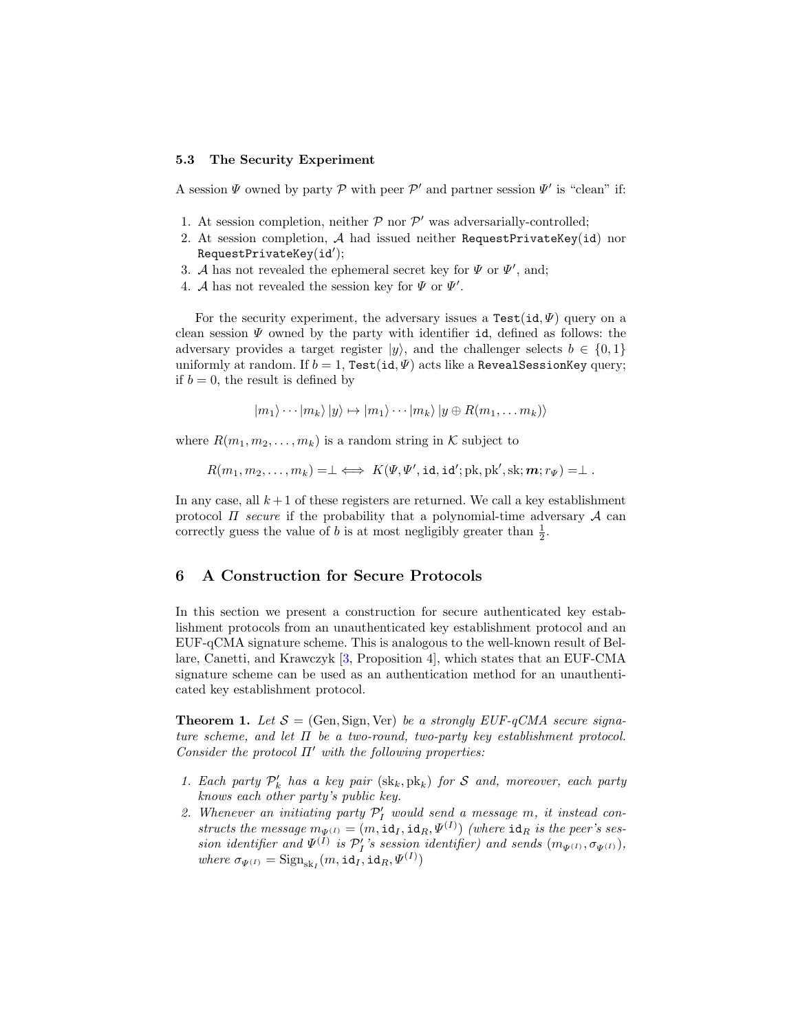#### 5.3 The Security Experiment

A session  $\Psi$  owned by party  $P$  with peer  $P'$  and partner session  $\Psi'$  is "clean" if:

- 1. At session completion, neither  $P$  nor  $P'$  was adversarially-controlled;
- 2. At session completion, A had issued neither RequestPrivateKey(id) nor  $\texttt{RequestPrivateKey}(\texttt{id}');$
- 3. A has not revealed the ephemeral secret key for  $\Psi$  or  $\Psi'$ , and;
- 4. A has not revealed the session key for  $\Psi$  or  $\Psi'$ .

For the security experiment, the adversary issues a  $Test(id, \Psi)$  query on a clean session  $\Psi$  owned by the party with identifier id, defined as follows: the adversary provides a target register  $|y\rangle$ , and the challenger selects  $b \in \{0,1\}$ uniformly at random. If  $b = 1$ , Test(id,  $\Psi$ ) acts like a RevealSessionKey query; if  $b = 0$ , the result is defined by

$$
|m_1\rangle\cdots|m_k\rangle|y\rangle \mapsto |m_1\rangle\cdots|m_k\rangle|y \oplus R(m_1,\ldots,m_k)\rangle
$$

where  $R(m_1, m_2, \ldots, m_k)$  is a random string in K subject to

$$
R(m_1, m_2, \ldots, m_k) = \perp \iff K(\Psi, \Psi', \text{id}, \text{id}'; \text{pk}, \text{pk}', \text{sk}; \mathbf{m}; r_{\Psi}) = \perp.
$$

In any case, all  $k+1$  of these registers are returned. We call a key establishment protocol  $\Pi$  secure if the probability that a polynomial-time adversary  $\mathcal A$  can correctly guess the value of b is at most negligibly greater than  $\frac{1}{2}$ .

## <span id="page-11-0"></span>6 A Construction for Secure Protocols

In this section we present a construction for secure authenticated key establishment protocols from an unauthenticated key establishment protocol and an EUF-qCMA signature scheme. This is analogous to the well-known result of Bellare, Canetti, and Krawczyk [\[3,](#page-17-2) Proposition 4], which states that an EUF-CMA signature scheme can be used as an authentication method for an unauthenticated key establishment protocol.

<span id="page-11-1"></span>**Theorem 1.** Let  $S = (Gen, Sign, Ver)$  be a strongly EUF-qCMA secure signature scheme, and let  $\Pi$  be a two-round, two-party key establishment protocol. Consider the protocol  $\Pi'$  with the following properties:

- 1. Each party  $\mathcal{P}'_k$  has a key pair  $(\text{sk}_k, \text{pk}_k)$  for S and, moreover, each party knows each other party's public key.
- 2. Whenever an initiating party  $\mathcal{P}'_I$  would send a message m, it instead constructs the message  $m_{\Psi^{(I)}} = (m, id_I, id_R, \Psi^{(I)})$  (where  $id_R$  is the peer's session identifier and  $\Psi^{(I)}$  is  $\mathcal{P}'_I$ 's session identifier) and sends  $(m_{\Psi^{(I)}}, \sigma_{\Psi^{(I)}})$ , where  $\sigma_{\Psi^{(I)}} = \text{Sign}_{\text{sk}_I}(m, \texttt{id}_I, \texttt{id}_R, \Psi^{(I)})$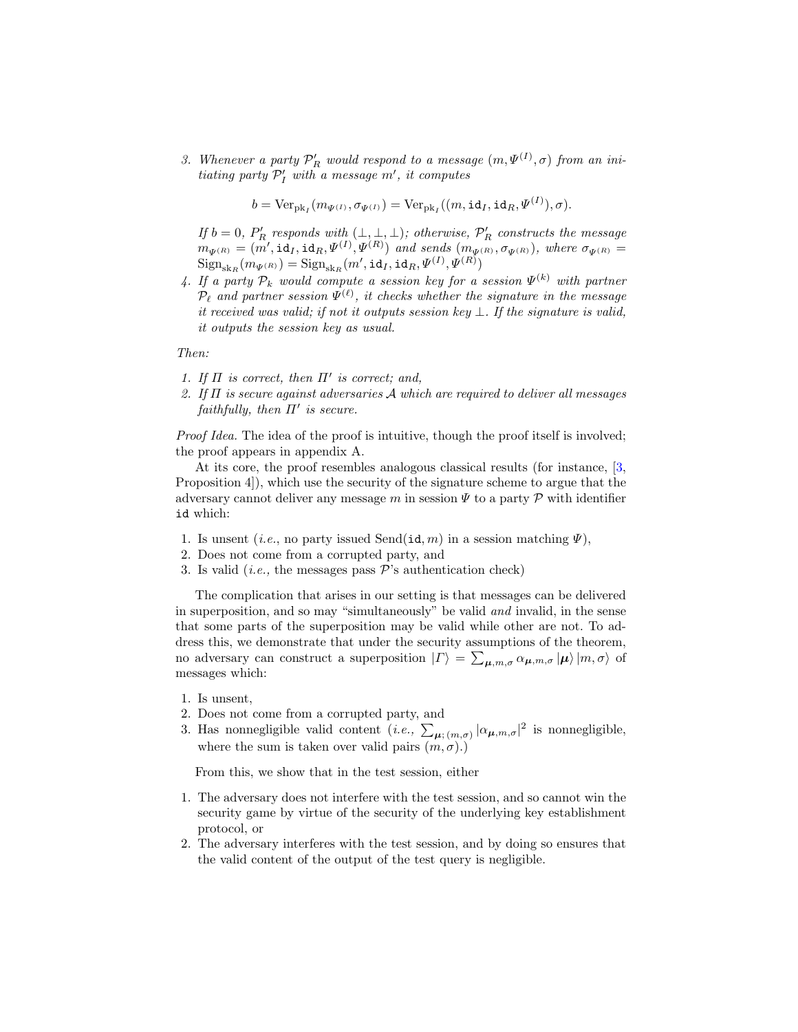3. Whenever a party  $\mathcal{P}'_R$  would respond to a message  $(m,\Psi^{(I)},\sigma)$  from an initiating party  $\mathcal{P}'_I$  with a message m', it computes

$$
b = \text{Ver}_{\text{pk}_I}(m_{\Psi^{(I)}}, \sigma_{\Psi^{(I)}}) = \text{Ver}_{\text{pk}_I}((m, \text{id}_I, \text{id}_R, \Psi^{(I)}), \sigma).
$$

If  $b = 0$ ,  $P'_R$  responds with  $(\perp, \perp, \perp)$ ; otherwise,  $\mathcal{P}'_R$  constructs the message  $m_{\Psi^{(R)}} = (\vec{m}', \texttt{id}_I, \texttt{id}_R, \Psi^{(I)}, \Psi^{(R)})$  and sends  $(m_{\Psi^{(R)}}, \sigma_{\Psi^{(R)}})$ , where  $\sigma_{\Psi^{(R)}} =$  $\text{Sign}_{\text{sk}_{R}}(m_{\varPsi^{(R)}}) = \text{Sign}_{\text{sk}_{R}}(m', \texttt{id}_{I}, \texttt{id}_{R}, \varPsi^{(I)}, \varPsi^{(R)})$ 

4. If a party  $\mathcal{P}_k$  would compute a session key for a session  $\Psi^{(k)}$  with partner  $\mathcal{P}_{\ell}$  and partner session  $\Psi^{(\ell)}$ , it checks whether the signature in the message it received was valid; if not it outputs session key  $\bot$ . If the signature is valid, it outputs the session key as usual.

Then:

- 1. If  $\Pi$  is correct, then  $\Pi'$  is correct; and,
- 2. If  $\Pi$  is secure against adversaries  $A$  which are required to deliver all messages faithfully, then  $\Pi'$  is secure.

Proof Idea. The idea of the proof is intuitive, though the proof itself is involved; the proof appears in appendix A.

At its core, the proof resembles analogous classical results (for instance, [\[3,](#page-17-2) Proposition 4]), which use the security of the signature scheme to argue that the adversary cannot deliver any message m in session  $\Psi$  to a party P with identifier id which:

- 1. Is unsent (*i.e.*, no party issued Send(id, m) in a session matching  $\Psi$ ),
- 2. Does not come from a corrupted party, and
- 3. Is valid (*i.e.*, the messages pass  $\mathcal{P}'$ 's authentication check)

The complication that arises in our setting is that messages can be delivered in superposition, and so may "simultaneously" be valid and invalid, in the sense that some parts of the superposition may be valid while other are not. To address this, we demonstrate that under the security assumptions of the theorem, no adversary can construct a superposition  $| \Gamma \rangle = \sum_{\mu,m,\sigma} \alpha_{\mu,m,\sigma} | \mu \rangle | m, \sigma \rangle$  of messages which:

- 1. Is unsent,
- 2. Does not come from a corrupted party, and
- 3. Has nonnegligible valid content  $(i.e., \sum_{\mu; (m,\sigma)} |\alpha_{\mu,m,\sigma}|^2$  is nonnegligible, where the sum is taken over valid pairs  $(m, \sigma)$ .)

From this, we show that in the test session, either

- 1. The adversary does not interfere with the test session, and so cannot win the security game by virtue of the security of the underlying key establishment protocol, or
- 2. The adversary interferes with the test session, and by doing so ensures that the valid content of the output of the test query is negligible.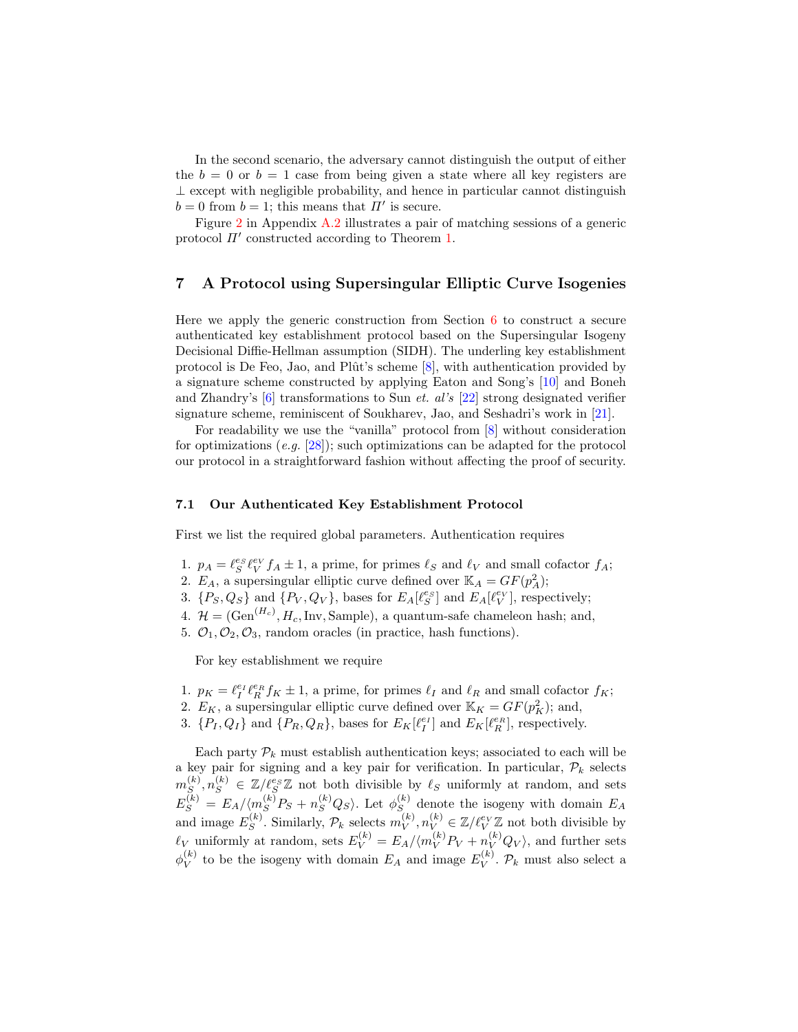In the second scenario, the adversary cannot distinguish the output of either the  $b = 0$  or  $b = 1$  case from being given a state where all key registers are  $\perp$  except with negligible probability, and hence in particular cannot distinguish  $b = 0$  from  $b = 1$ ; this means that  $\Pi'$  is secure.

Figure [2](#page-20-0) in Appendix [A.2](#page-20-1) illustrates a pair of matching sessions of a generic protocol  $\Pi'$  constructed according to Theorem [1.](#page-11-1)

# <span id="page-13-0"></span>7 A Protocol using Supersingular Elliptic Curve Isogenies

Here we apply the generic construction from Section [6](#page-11-0) to construct a secure authenticated key establishment protocol based on the Supersingular Isogeny Decisional Diffie-Hellman assumption (SIDH). The underling key establishment protocol is De Feo, Jao, and Plût's scheme  $[8]$ , with authentication provided by a signature scheme constructed by applying Eaton and Song's [\[10\]](#page-17-9) and Boneh and Zhandry's  $[6]$  transformations to Sun *et. al's* [\[22\]](#page-18-9) strong designated verifier signature scheme, reminiscent of Soukharev, Jao, and Seshadri's work in [\[21\]](#page-18-11).

For readability we use the "vanilla" protocol from [\[8\]](#page-17-10) without consideration for optimizations  $(e.g. [28])$  $(e.g. [28])$  $(e.g. [28])$ ; such optimizations can be adapted for the protocol our protocol in a straightforward fashion without affecting the proof of security.

#### 7.1 Our Authenticated Key Establishment Protocol

First we list the required global parameters. Authentication requires

- 1.  $p_A = \ell_S^{es} \ell_V^{ev} f_A \pm 1$ , a prime, for primes  $\ell_S$  and  $\ell_V$  and small cofactor  $f_A$ ;
- 2.  $E_A$ , a supersingular elliptic curve defined over  $\mathbb{K}_A = GF(p_A^2);$
- 3.  $\{P_S, Q_S\}$  and  $\{P_V, Q_V\}$ , bases for  $E_A[\ell_S^{e_S}]$  and  $E_A[\ell_V^{e_V}]$ , respectively;
- 4.  $\mathcal{H} = (\text{Gen}^{(H_c)}, H_c, \text{Inv}, \text{Sample})$ , a quantum-safe chameleon hash; and,
- 5.  $\mathcal{O}_1, \mathcal{O}_2, \mathcal{O}_3$ , random oracles (in practice, hash functions).

For key establishment we require

- 1.  $p_K = \ell_I^{e_I} \ell_R^{e_R} f_K \pm 1$ , a prime, for primes  $\ell_I$  and  $\ell_R$  and small cofactor  $f_K$ ;
- 2.  $E_K$ , a supersingular elliptic curve defined over  $\mathbb{K}_K = GF(p_K^2)$ ; and,
- 3.  $\{P_I, Q_I\}$  and  $\{P_R, Q_R\}$ , bases for  $E_K[\ell_I^{e_I}]$  and  $E_K[\ell_R^{e_R}]$ , respectively.

Each party  $P_k$  must establish authentication keys; associated to each will be a key pair for signing and a key pair for verification. In particular,  $\mathcal{P}_k$  selects  $m_S^{(k)}$  $S(S, n_S^{(k)}, n_S^{(k)} \in \mathbb{Z}/\ell_S^{e_S} \mathbb{Z}$  not both divisible by  $\ell_S$  uniformly at random, and sets  $E_S^{(k)} = E_A / \langle m_S^{(k)} P_S + n_S^{(k)} Q_S \rangle$ . Let  $\phi_S^{(k)}$  $S<sub>S</sub>$  denote the isogeny with domain  $E_A$ and image  $E_S^{(k)}$  $S^{(k)}$ . Similarly,  $\mathcal{P}_k$  selects  $m_V^{(k)}$  $\mathcal{U}_{V}^{(k)}, n_{V}^{(k)} \in \mathbb{Z}/\ell_{V}^{ev}\mathbb{Z}$  not both divisible by  $\ell_V$  uniformly at random, sets  $E_V^{(k)} = E_A / \langle m_V^{(k)} P_V + n_V^{(k)} Q_V \rangle$ , and further sets  $\phi_V^{(k)}$  $\mathcal{L}_V^{(k)}$  to be the isogeny with domain  $E_A$  and image  $E_V^{(k)}$  $V^{(k)}$ .  $\mathcal{P}_k$  must also select a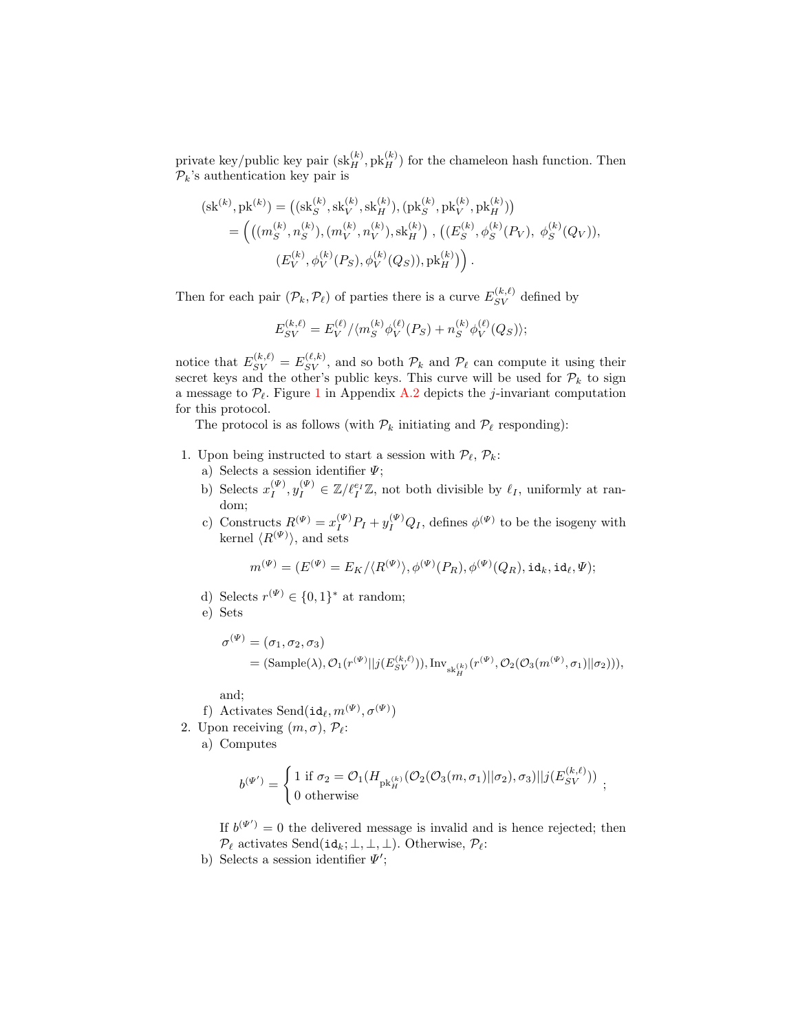private key/public key pair  $(\text{sk}_{H}^{(k)}, \text{pk}_{H}^{(k)})$  for the chameleon hash function. Then  $\mathcal{P}_k$ 's authentication key pair is

$$
(\text{sk}^{(k)}, \text{pk}^{(k)}) = ((\text{sk}_{S}^{(k)}, \text{sk}_{V}^{(k)}, \text{sk}_{H}^{(k)}), (\text{pk}_{S}^{(k)}, \text{pk}_{V}^{(k)}, \text{pk}_{H}^{(k)}))
$$
  
= 
$$
\left(((m_{S}^{(k)}, n_{S}^{(k)}), (m_{V}^{(k)}, n_{V}^{(k)}), \text{sk}_{H}^{(k)}) , ((E_{S}^{(k)}, \phi_{S}^{(k)}(P_{V}), \phi_{S}^{(k)}(Q_{V})),
$$
  

$$
(E_{V}^{(k)}, \phi_{V}^{(k)}(P_{S}), \phi_{V}^{(k)}(Q_{S})), \text{pk}_{H}^{(k)})\right).
$$

Then for each pair  $(\mathcal{P}_k, \mathcal{P}_\ell)$  of parties there is a curve  $E_{SV}^{(k,\ell)}$  defined by

$$
E_{SV}^{(k,\ell)} = E_{V}^{(\ell)}/\langle m_{S}^{(k)} \phi_{V}^{(\ell)}(P_{S}) + n_{S}^{(k)} \phi_{V}^{(\ell)}(Q_{S})\rangle;
$$

notice that  $E_{SV}^{(k,\ell)} = E_{SV}^{(\ell,k)}$ , and so both  $\mathcal{P}_k$  and  $\mathcal{P}_\ell$  can compute it using their secret keys and the other's public keys. This curve will be used for  $\mathcal{P}_k$  to sign a message to  $\mathcal{P}_{\ell}$ . Figure [1](#page-19-0) in Appendix [A.2](#page-20-1) depicts the j-invariant computation for this protocol.

The protocol is as follows (with  $\mathcal{P}_k$  initiating and  $\mathcal{P}_\ell$  responding):

- 1. Upon being instructed to start a session with  $\mathcal{P}_{\ell}, \mathcal{P}_{k}$ :
	- a) Selects a session identifier  $\Psi$ ;
	- b) Selects  $x_I^{(\Psi)}$  $\mathcal{U}_I^{(W)}, \mathcal{Y}_I^{(W)} \in \mathbb{Z}/\ell_I^{e_I} \mathbb{Z}$ , not both divisible by  $\ell_I$ , uniformly at random;
	- c) Constructs  $R^{(\Psi)} = x_I^{(\Psi)} P_I + y_I^{(\Psi)} Q_I$ , defines  $\phi^{(\Psi)}$  to be the isogeny with kernel  $\langle R^{(\Psi)} \rangle$ , and sets

$$
m^{(\Psi)} = (E^{(\Psi)} = E_K / \langle R^{(\Psi)} \rangle, \phi^{(\Psi)}(P_R), \phi^{(\Psi)}(Q_R), \mathrm{id}_k, \mathrm{id}_\ell, \Psi);
$$

- d) Selects  $r^{(\Psi)} \in \{0,1\}^*$  at random;
- e) Sets

$$
\sigma^{(\Psi)} = (\sigma_1, \sigma_2, \sigma_3)
$$
  
= (Sample( $\lambda$ ),  $\mathcal{O}_1(r^{(\Psi)}||j(E_{SV}^{(k,\ell)})), \text{Inv}_{sk_H^{(k)}}(r^{(\Psi)}, \mathcal{O}_2(\mathcal{O}_3(m^{(\Psi)}, \sigma_1)||\sigma_2))),$ 

and;

- f) Activates Send $(\text{id}_{\ell}, m^{(\Psi)}, \sigma^{(\Psi)})$
- 2. Upon receiving  $(m, \sigma)$ ,  $\mathcal{P}_{\ell}$ :

a) Computes

$$
b^{(\Psi')} = \begin{cases} 1 \text{ if } \sigma_2 = \mathcal{O}_1(H_{\text{pk}_H^{(k)}}(\mathcal{O}_2(\mathcal{O}_3(m, \sigma_1)||\sigma_2), \sigma_3)||j(E_{SV}^{(k, \ell)})) \\ 0 \text{ otherwise} \end{cases};
$$

If  $b^{(\Psi')} = 0$  the delivered message is invalid and is hence rejected; then  $\mathcal{P}_{\ell}$  activates Send(id<sub>k</sub>; ⊥, ⊥, ⊥). Otherwise,  $\mathcal{P}_{\ell}$ :

b) Selects a session identifier  $\Psi'$ ;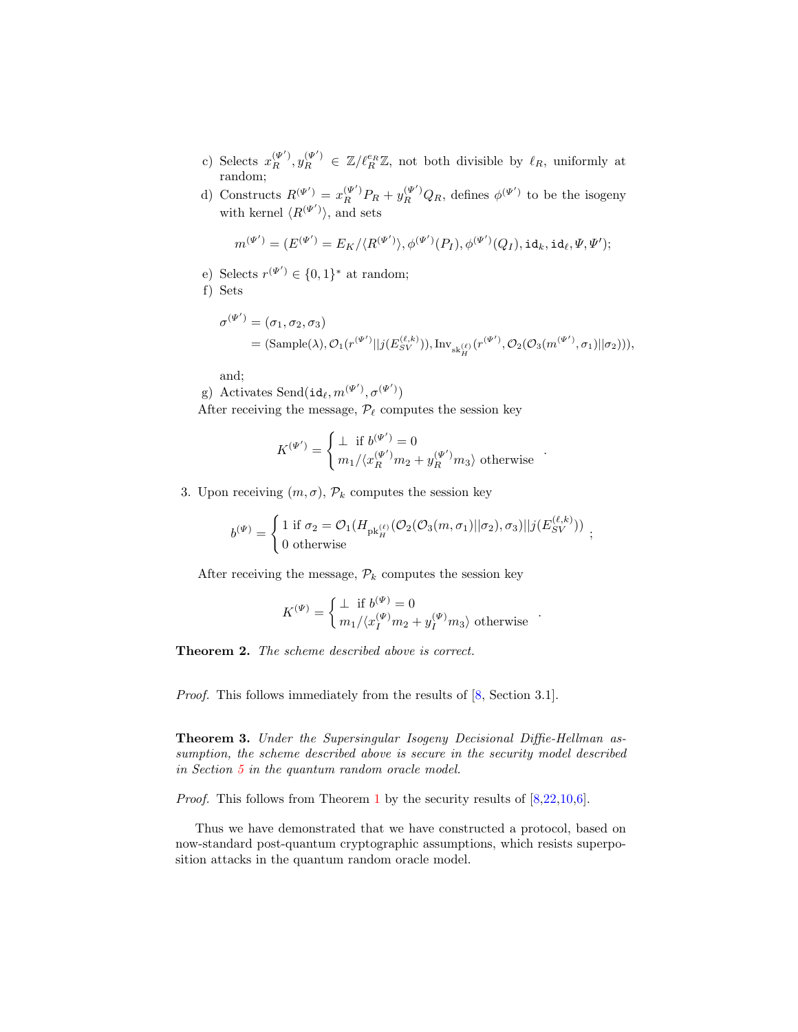- c) Selects  $x_R^{(\Psi')}$ ,  $y_R^{(\Psi')} \in \mathbb{Z}/\ell_R^{e_R} \mathbb{Z}$ , not both divisible by  $\ell_R$ , uniformly at random;
- d) Constructs  $R^{(\Psi')} = x_R^{(\Psi')} P_R + y_R^{(\Psi')} Q_R$ , defines  $\phi^{(\Psi')}$  to be the isogeny with kernel  $\langle R^{(\Psi')} \rangle$ , and sets

$$
m^{(\Psi')} = (E^{(\Psi')} = E_K / \langle R^{(\Psi')} \rangle, \phi^{(\Psi')}(P_I), \phi^{(\Psi')}(Q_I), id_k, id_\ell, \Psi, \Psi'\rangle);
$$

e) Selects  $r^{(\Psi')} \in \{0,1\}^*$  at random;

f) Sets

$$
\sigma^{(\Psi')} = (\sigma_1, \sigma_2, \sigma_3)
$$
  
= (Sample( $\lambda$ ),  $\mathcal{O}_1(r^{(\Psi')}||j(E_{SV}^{(\ell,k)})), \text{Inv}_{sk_H^{(\ell)}}(r^{(\Psi')}, \mathcal{O}_2(\mathcal{O}_3(m^{(\Psi')}, \sigma_1)||\sigma_2))),$ 

and;

g) Activates Send $(\mathrm{id}_{\ell}, m^{(\Psi')}, \sigma^{(\Psi')})$ After receiving the message,  $\mathcal{P}_{\ell}$  computes the session key

$$
K^{(\Psi')} = \begin{cases} \bot & \text{if } b^{(\Psi')} = 0\\ m_1 / \langle x_R^{(\Psi')} m_2 + y_R^{(\Psi')} m_3 \rangle \text{ otherwise} \end{cases}
$$

.

.

3. Upon receiving  $(m, \sigma)$ ,  $\mathcal{P}_k$  computes the session key

$$
b^{(\Psi)} = \begin{cases} 1 \text{ if } \sigma_2 = \mathcal{O}_1(H_{\text{pk}_H^{(\ell)}}(\mathcal{O}_2(\mathcal{O}_3(m,\sigma_1)||\sigma_2),\sigma_3)||j(E_{SV}^{(\ell,k)})) \\ 0 \text{ otherwise} \end{cases};
$$

After receiving the message,  $\mathcal{P}_k$  computes the session key

$$
K^{(\Psi)} = \begin{cases} \perp & \text{if } b^{(\Psi)} = 0 \\ m_1 / \langle x_I^{(\Psi)} m_2 + y_I^{(\Psi)} m_3 \rangle \text{ otherwise} \end{cases}
$$

Theorem 2. The scheme described above is correct.

Proof. This follows immediately from the results of  $[8, Section 3.1]$  $[8, Section 3.1]$ .

Theorem 3. Under the Supersingular Isogeny Decisional Diffie-Hellman assumption, the scheme described above is secure in the security model described in Section [5](#page-7-0) in the quantum random oracle model.

*Proof.* This follows from Theorem [1](#page-11-1) by the security results of  $[8,22,10,6]$  $[8,22,10,6]$  $[8,22,10,6]$  $[8,22,10,6]$ .

Thus we have demonstrated that we have constructed a protocol, based on now-standard post-quantum cryptographic assumptions, which resists superposition attacks in the quantum random oracle model.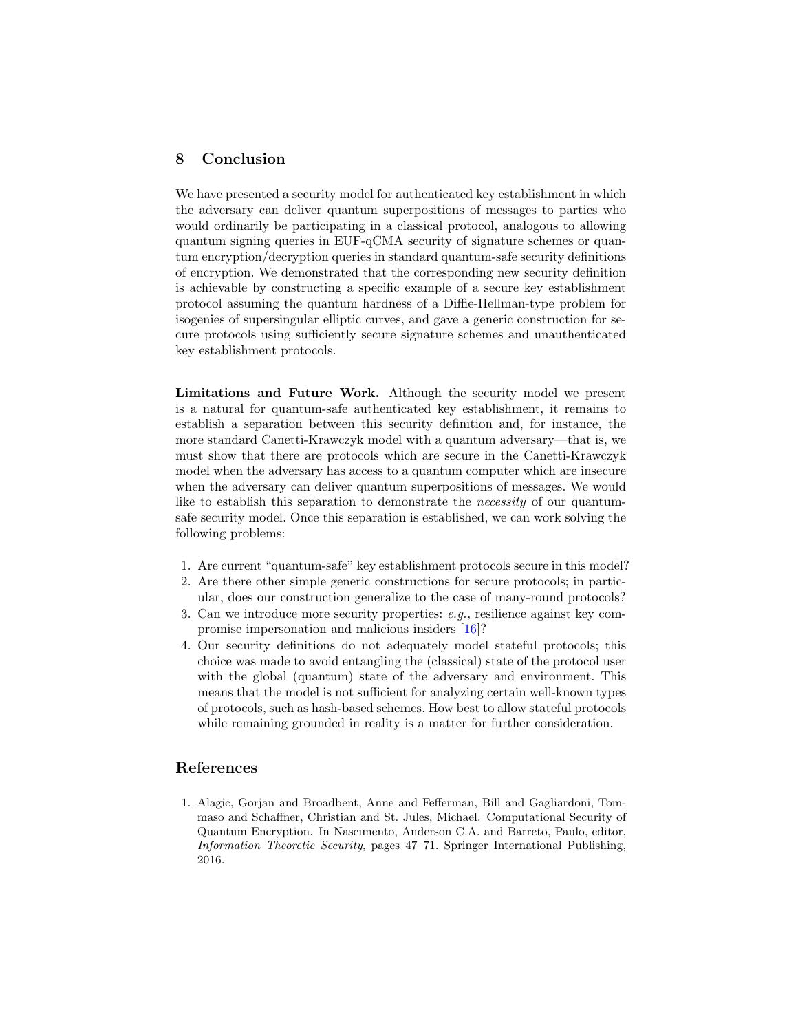# <span id="page-16-1"></span>8 Conclusion

We have presented a security model for authenticated key establishment in which the adversary can deliver quantum superpositions of messages to parties who would ordinarily be participating in a classical protocol, analogous to allowing quantum signing queries in EUF-qCMA security of signature schemes or quantum encryption/decryption queries in standard quantum-safe security definitions of encryption. We demonstrated that the corresponding new security definition is achievable by constructing a specific example of a secure key establishment protocol assuming the quantum hardness of a Diffie-Hellman-type problem for isogenies of supersingular elliptic curves, and gave a generic construction for secure protocols using sufficiently secure signature schemes and unauthenticated key establishment protocols.

Limitations and Future Work. Although the security model we present is a natural for quantum-safe authenticated key establishment, it remains to establish a separation between this security definition and, for instance, the more standard Canetti-Krawczyk model with a quantum adversary—that is, we must show that there are protocols which are secure in the Canetti-Krawczyk model when the adversary has access to a quantum computer which are insecure when the adversary can deliver quantum superpositions of messages. We would like to establish this separation to demonstrate the necessity of our quantumsafe security model. Once this separation is established, we can work solving the following problems:

- 1. Are current "quantum-safe" key establishment protocols secure in this model?
- 2. Are there other simple generic constructions for secure protocols; in particular, does our construction generalize to the case of many-round protocols?
- 3. Can we introduce more security properties: e.g., resilience against key compromise impersonation and malicious insiders [\[16\]](#page-17-4)?
- 4. Our security definitions do not adequately model stateful protocols; this choice was made to avoid entangling the (classical) state of the protocol user with the global (quantum) state of the adversary and environment. This means that the model is not sufficient for analyzing certain well-known types of protocols, such as hash-based schemes. How best to allow stateful protocols while remaining grounded in reality is a matter for further consideration.

### References

<span id="page-16-0"></span>1. Alagic, Gorjan and Broadbent, Anne and Fefferman, Bill and Gagliardoni, Tommaso and Schaffner, Christian and St. Jules, Michael. Computational Security of Quantum Encryption. In Nascimento, Anderson C.A. and Barreto, Paulo, editor, Information Theoretic Security, pages 47–71. Springer International Publishing, 2016.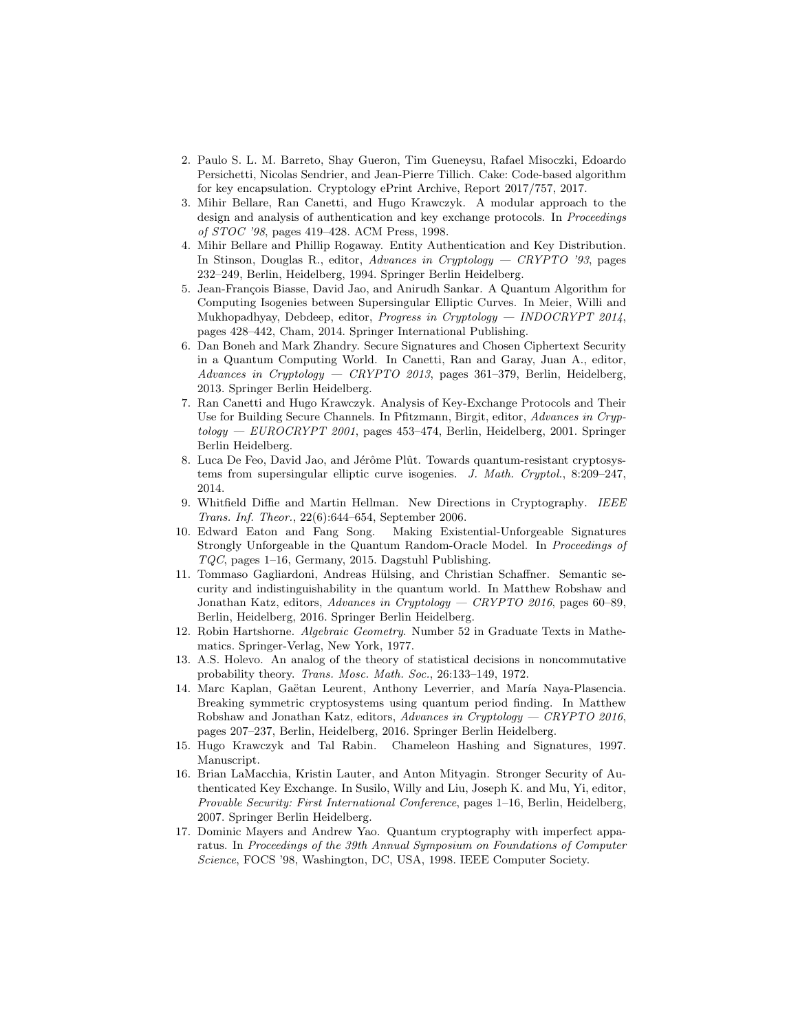- <span id="page-17-7"></span>2. Paulo S. L. M. Barreto, Shay Gueron, Tim Gueneysu, Rafael Misoczki, Edoardo Persichetti, Nicolas Sendrier, and Jean-Pierre Tillich. Cake: Code-based algorithm for key encapsulation. Cryptology ePrint Archive, Report 2017/757, 2017.
- <span id="page-17-2"></span>3. Mihir Bellare, Ran Canetti, and Hugo Krawczyk. A modular approach to the design and analysis of authentication and key exchange protocols. In *Proceedings* of STOC '98, pages 419–428. ACM Press, 1998.
- <span id="page-17-1"></span>4. Mihir Bellare and Phillip Rogaway. Entity Authentication and Key Distribution. In Stinson, Douglas R., editor, Advances in Cryptology — CRYPTO '93, pages 232–249, Berlin, Heidelberg, 1994. Springer Berlin Heidelberg.
- <span id="page-17-12"></span>5. Jean-François Biasse, David Jao, and Anirudh Sankar. A Quantum Algorithm for Computing Isogenies between Supersingular Elliptic Curves. In Meier, Willi and Mukhopadhyay, Debdeep, editor, Progress in Cryptology — INDOCRYPT 2014, pages 428–442, Cham, 2014. Springer International Publishing.
- <span id="page-17-5"></span>6. Dan Boneh and Mark Zhandry. Secure Signatures and Chosen Ciphertext Security in a Quantum Computing World. In Canetti, Ran and Garay, Juan A., editor, Advances in Cryptology — CRYPTO 2013, pages 361–379, Berlin, Heidelberg, 2013. Springer Berlin Heidelberg.
- <span id="page-17-3"></span>7. Ran Canetti and Hugo Krawczyk. Analysis of Key-Exchange Protocols and Their Use for Building Secure Channels. In Pfitzmann, Birgit, editor, Advances in Cryptology — EUROCRYPT 2001, pages 453–474, Berlin, Heidelberg, 2001. Springer Berlin Heidelberg.
- <span id="page-17-10"></span>8. Luca De Feo, David Jao, and Jérôme Plût. Towards quantum-resistant cryptosystems from supersingular elliptic curve isogenies. J. Math. Cryptol., 8:209–247, 2014.
- <span id="page-17-0"></span>9. Whitfield Diffie and Martin Hellman. New Directions in Cryptography. IEEE Trans. Inf. Theor., 22(6):644–654, September 2006.
- <span id="page-17-9"></span>10. Edward Eaton and Fang Song. Making Existential-Unforgeable Signatures Strongly Unforgeable in the Quantum Random-Oracle Model. In Proceedings of TQC, pages 1–16, Germany, 2015. Dagstuhl Publishing.
- <span id="page-17-6"></span>11. Tommaso Gagliardoni, Andreas Hülsing, and Christian Schaffner. Semantic security and indistinguishability in the quantum world. In Matthew Robshaw and Jonathan Katz, editors, Advances in Cryptology — CRYPTO 2016, pages 60–89, Berlin, Heidelberg, 2016. Springer Berlin Heidelberg.
- <span id="page-17-11"></span>12. Robin Hartshorne. Algebraic Geometry. Number 52 in Graduate Texts in Mathematics. Springer-Verlag, New York, 1977.
- <span id="page-17-15"></span>13. A.S. Holevo. An analog of the theory of statistical decisions in noncommutative probability theory. Trans. Mosc. Math. Soc., 26:133–149, 1972.
- <span id="page-17-8"></span>14. Marc Kaplan, Gaëtan Leurent, Anthony Leverrier, and María Naya-Plasencia. Breaking symmetric cryptosystems using quantum period finding. In Matthew Robshaw and Jonathan Katz, editors, Advances in Cryptology — CRYPTO 2016, pages 207–237, Berlin, Heidelberg, 2016. Springer Berlin Heidelberg.
- <span id="page-17-13"></span>15. Hugo Krawczyk and Tal Rabin. Chameleon Hashing and Signatures, 1997. Manuscript.
- <span id="page-17-4"></span>16. Brian LaMacchia, Kristin Lauter, and Anton Mityagin. Stronger Security of Authenticated Key Exchange. In Susilo, Willy and Liu, Joseph K. and Mu, Yi, editor, Provable Security: First International Conference, pages 1–16, Berlin, Heidelberg, 2007. Springer Berlin Heidelberg.
- <span id="page-17-14"></span>17. Dominic Mayers and Andrew Yao. Quantum cryptography with imperfect apparatus. In Proceedings of the 39th Annual Symposium on Foundations of Computer Science, FOCS '98, Washington, DC, USA, 1998. IEEE Computer Society.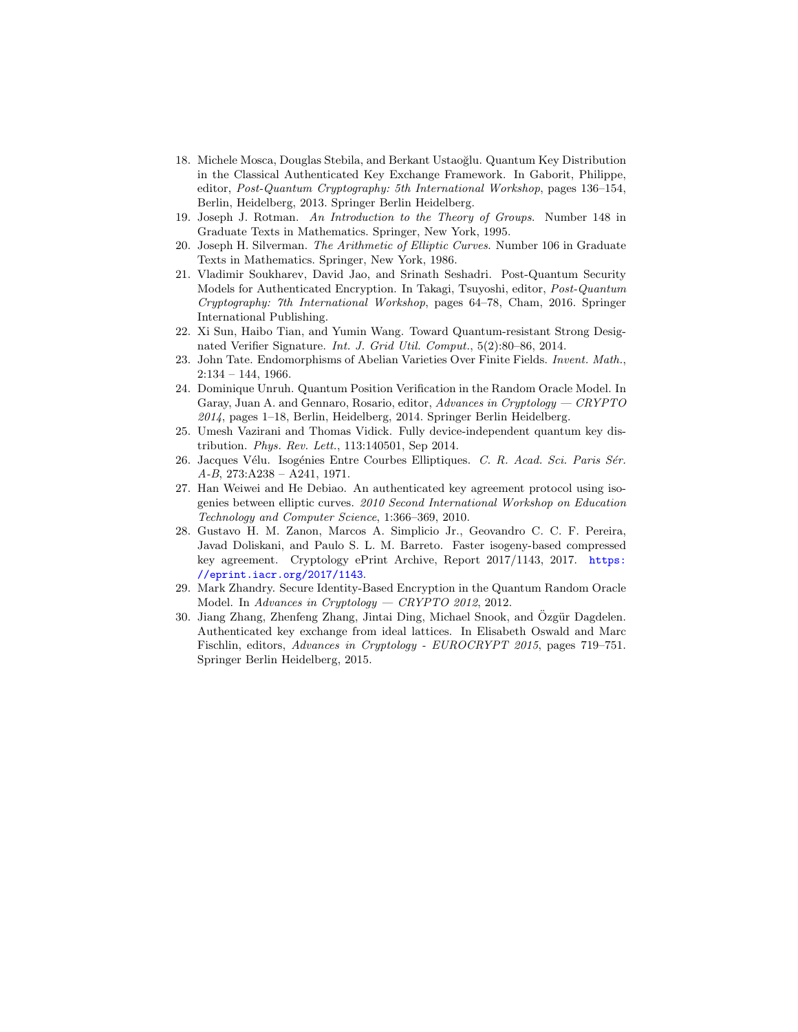- <span id="page-18-0"></span>18. Michele Mosca, Douglas Stebila, and Berkant Ustaoğlu. Quantum Key Distribution in the Classical Authenticated Key Exchange Framework. In Gaborit, Philippe, editor, Post-Quantum Cryptography: 5th International Workshop, pages 136–154, Berlin, Heidelberg, 2013. Springer Berlin Heidelberg.
- <span id="page-18-7"></span>19. Joseph J. Rotman. An Introduction to the Theory of Groups. Number 148 in Graduate Texts in Mathematics. Springer, New York, 1995.
- <span id="page-18-5"></span>20. Joseph H. Silverman. The Arithmetic of Elliptic Curves. Number 106 in Graduate Texts in Mathematics. Springer, New York, 1986.
- <span id="page-18-11"></span>21. Vladimir Soukharev, David Jao, and Srinath Seshadri. Post-Quantum Security Models for Authenticated Encryption. In Takagi, Tsuyoshi, editor, Post-Quantum Cryptography: 7th International Workshop, pages 64–78, Cham, 2016. Springer International Publishing.
- <span id="page-18-9"></span>22. Xi Sun, Haibo Tian, and Yumin Wang. Toward Quantum-resistant Strong Designated Verifier Signature. Int. J. Grid Util. Comput., 5(2):80–86, 2014.
- <span id="page-18-6"></span>23. John Tate. Endomorphisms of Abelian Varieties Over Finite Fields. Invent. Math.,  $2:134 - 144, 1966.$
- <span id="page-18-3"></span>24. Dominique Unruh. Quantum Position Verification in the Random Oracle Model. In Garay, Juan A. and Gennaro, Rosario, editor, Advances in Cryptology — CRYPTO 2014, pages 1–18, Berlin, Heidelberg, 2014. Springer Berlin Heidelberg.
- <span id="page-18-10"></span>25. Umesh Vazirani and Thomas Vidick. Fully device-independent quantum key distribution. Phys. Rev. Lett., 113:140501, Sep 2014.
- <span id="page-18-8"></span>26. Jacques Vélu. Isogénies Entre Courbes Elliptiques. C. R. Acad. Sci. Paris Sér. A-B, 273:A238 – A241, 1971.
- <span id="page-18-1"></span>27. Han Weiwei and He Debiao. An authenticated key agreement protocol using isogenies between elliptic curves. 2010 Second International Workshop on Education Technology and Computer Science, 1:366–369, 2010.
- <span id="page-18-12"></span>28. Gustavo H. M. Zanon, Marcos A. Simplicio Jr., Geovandro C. C. F. Pereira, Javad Doliskani, and Paulo S. L. M. Barreto. Faster isogeny-based compressed key agreement. Cryptology ePrint Archive, Report 2017/1143, 2017. [https:](https://eprint.iacr.org/2017/1143) [//eprint.iacr.org/2017/1143](https://eprint.iacr.org/2017/1143).
- <span id="page-18-4"></span>29. Mark Zhandry. Secure Identity-Based Encryption in the Quantum Random Oracle Model. In Advances in Cryptology — CRYPTO 2012, 2012.
- <span id="page-18-2"></span>30. Jiang Zhang, Zhenfeng Zhang, Jintai Ding, Michael Snook, and Özgür Dagdelen. Authenticated key exchange from ideal lattices. In Elisabeth Oswald and Marc Fischlin, editors, Advances in Cryptology - EUROCRYPT 2015, pages 719–751. Springer Berlin Heidelberg, 2015.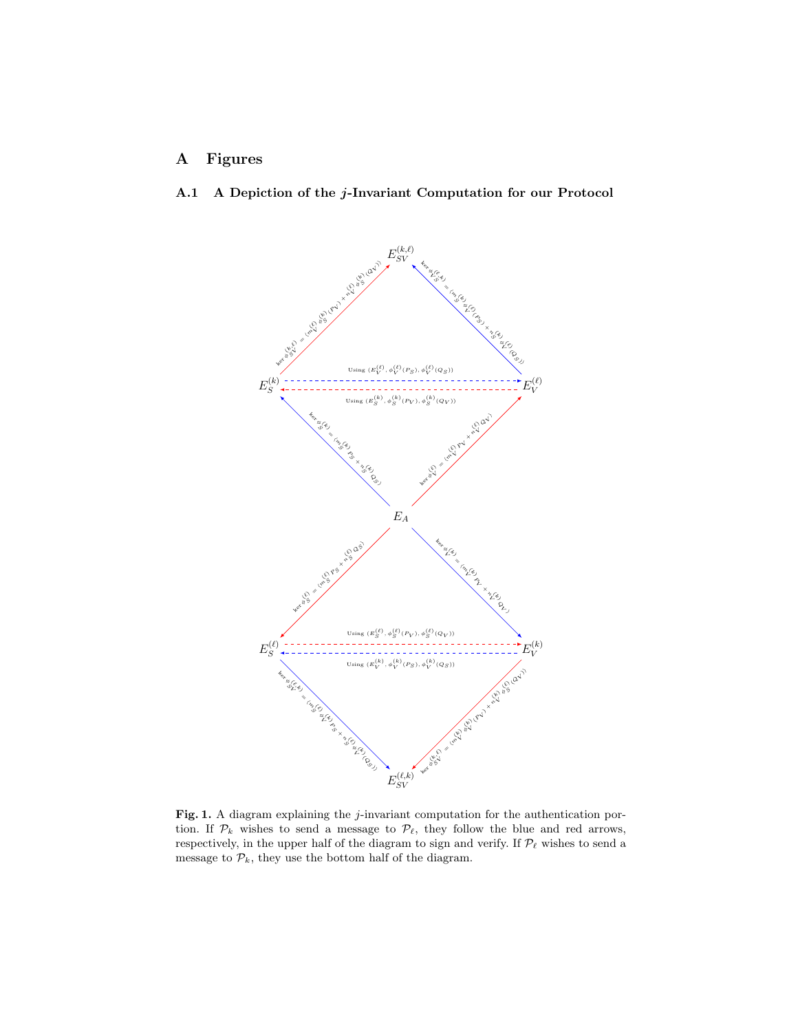# A Figures

# A.1 A Depiction of the j-Invariant Computation for our Protocol



<span id="page-19-0"></span>Fig. 1. A diagram explaining the j-invariant computation for the authentication portion. If  $\mathcal{P}_k$  wishes to send a message to  $\mathcal{P}_\ell$ , they follow the blue and red arrows, respectively, in the upper half of the diagram to sign and verify. If  $\mathcal{P}_{\ell}$  wishes to send a message to  $\mathcal{P}_k$ , they use the bottom half of the diagram.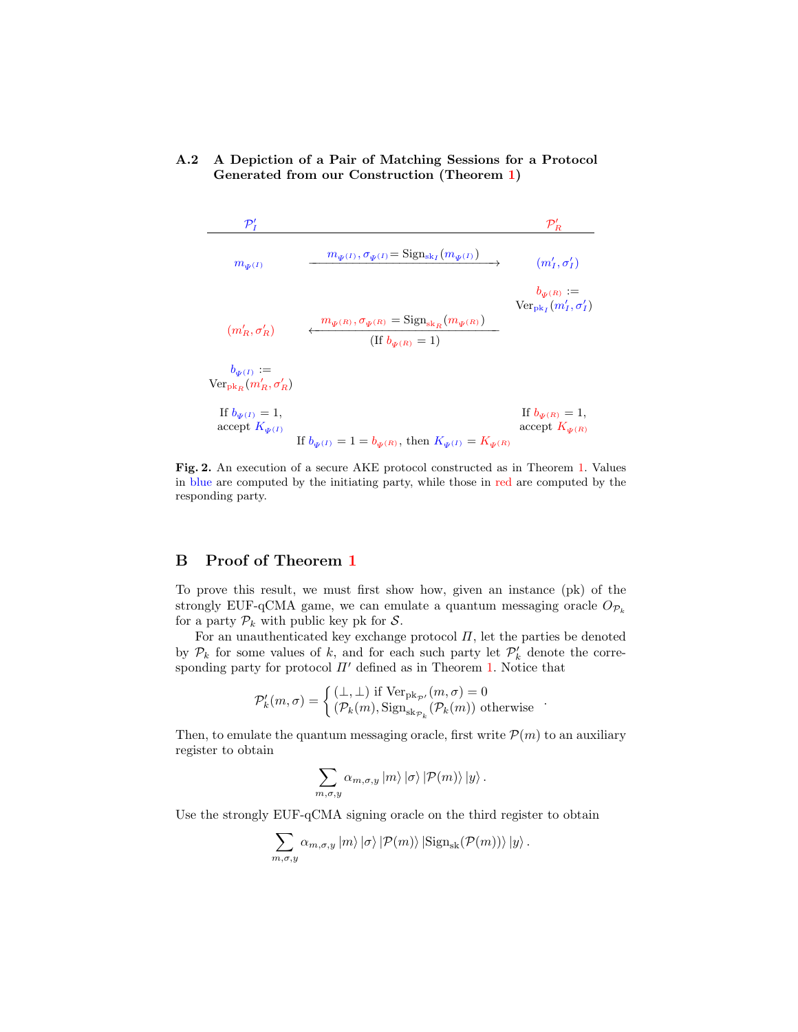### <span id="page-20-1"></span>A.2 A Depiction of a Pair of Matching Sessions for a Protocol Generated from our Construction (Theorem [1\)](#page-11-1)

$$
\begin{array}{lll} \begin{array}{ccccc} & \mathcal{P}'_I & \mathcal{P}'_R & \\ & & \mathcal{P}'_R & \\ & & m_{\Psi^{(I)}} & \mathcal{O}_{\Psi^{(I)}} = \text{Sign}_{\text{sk}_I}(m_{\Psi^{(I)}}) & \\ & & (m'_I, \sigma'_I) & \\ & & & (m'_I, \sigma'_I) & \\ & & & (m'_R, \sigma'_R) & \\ & & & (H^t_{\Psi^{(R)}}, \sigma_{\Psi^{(R)}} = \text{Sign}_{\text{sk}_R}(m_{\Psi^{(R)}}) & \\ & & (H^t_{\Psi^{(R)}} = 1) & \\ & & (H^t_{\Psi^{(R)}} = 1) & \\ & & & (H^t_{\Psi^{(R)}} = 1) & \\ & & & (H^t_{\Psi^{(R)}} = 1) & \\ & & & \text{if } b_{\Psi^{(I)}} = 1, & \\ & & & \text{accept } K_{\Psi^{(I)}} & \\ & & & & \text{if } b_{\Psi^{(I)}} = 1 = b_{\Psi^{(R)}}, \text{ then } K_{\Psi^{(I)}} = K_{\Psi^{(R)}} & \end{array} \end{array}
$$

<span id="page-20-0"></span>Fig. 2. An execution of a secure AKE protocol constructed as in Theorem [1.](#page-11-1) Values in blue are computed by the initiating party, while those in red are computed by the responding party.

## B Proof of Theorem [1](#page-11-1)

To prove this result, we must first show how, given an instance (pk) of the strongly EUF-qCMA game, we can emulate a quantum messaging oracle  $O_{\mathcal{P}_k}$ for a party  $P_k$  with public key pk for S.

For an unauthenticated key exchange protocol  $\Pi$ , let the parties be denoted by  $\mathcal{P}_k$  for some values of k, and for each such party let  $\mathcal{P}'_k$  denote the corresponding party for protocol  $\Pi'$  defined as in Theorem [1.](#page-11-1) Notice that

$$
\mathcal{P}'_k(m,\sigma) = \begin{cases} (\perp, \perp) \text{ if } \text{Ver}_{\text{pk}_{\mathcal{P}'}}(m,\sigma) = 0 \\ (\mathcal{P}_k(m), \text{Sign}_{\text{sk}_{\mathcal{P}_k}}(\mathcal{P}_k(m)) \text{ otherwise } \end{cases}.
$$

Then, to emulate the quantum messaging oracle, first write  $\mathcal{P}(m)$  to an auxiliary register to obtain

$$
\sum_{m,\sigma,y} \alpha_{m,\sigma,y} \left| m \right\rangle \left| \sigma \right\rangle \left| \mathcal{P}(m) \right\rangle \left| y \right\rangle.
$$

Use the strongly EUF-qCMA signing oracle on the third register to obtain

$$
\sum_{m,\sigma,y} \alpha_{m,\sigma,y} |m\rangle |\sigma\rangle |P(m)\rangle |{\rm Sign}_{\rm sk}(\mathcal{P}(m))\rangle |y\rangle.
$$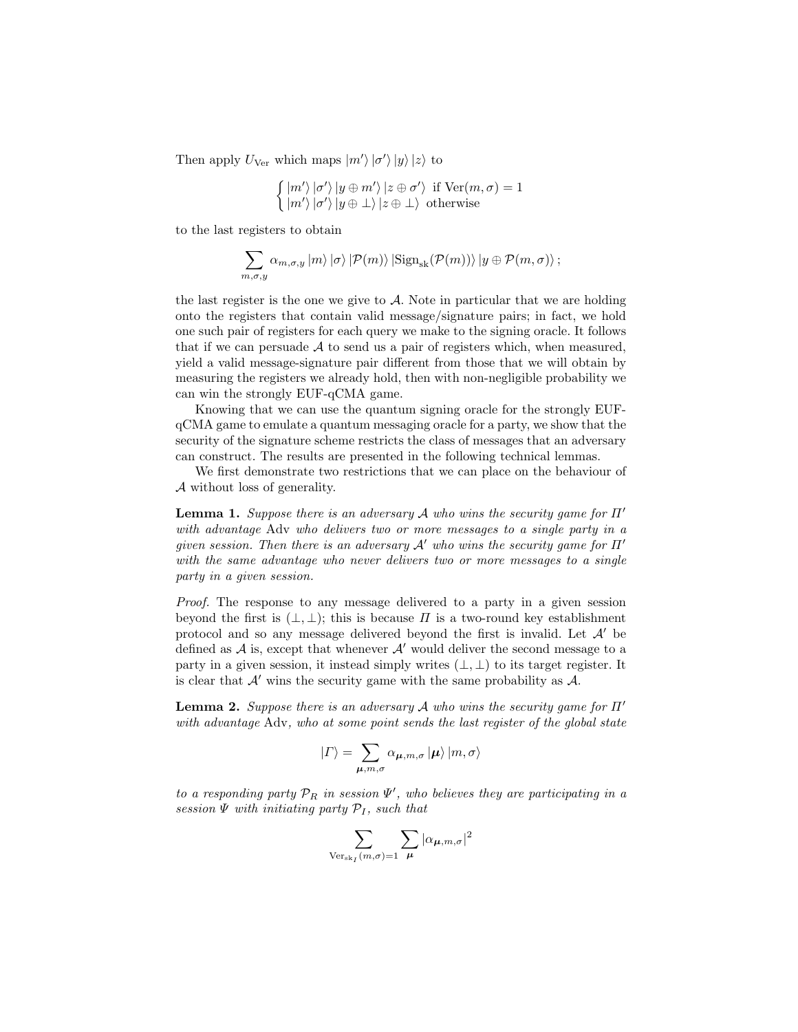Then apply  $U_{\text{Ver}}$  which maps  $|m'\rangle |\sigma'\rangle |y\rangle |z\rangle$  to

$$
\begin{cases} |m'\rangle |\sigma'\rangle |y \oplus m'\rangle |z \oplus \sigma'\rangle & \text{if } \text{Ver}(m, \sigma) = 1\\ |m'\rangle |\sigma'\rangle |y \oplus \bot\rangle |z \oplus \bot\rangle & \text{otherwise} \end{cases}
$$

to the last registers to obtain

$$
\sum_{m,\sigma,y} \alpha_{m,\sigma,y} |m\rangle |\sigma\rangle |P(m)\rangle |\text{Sign}_{\text{sk}}(\mathcal{P}(m))\rangle |y \oplus \mathcal{P}(m,\sigma)\rangle ;
$$

the last register is the one we give to  $A$ . Note in particular that we are holding onto the registers that contain valid message/signature pairs; in fact, we hold one such pair of registers for each query we make to the signing oracle. It follows that if we can persuade  $A$  to send us a pair of registers which, when measured, yield a valid message-signature pair different from those that we will obtain by measuring the registers we already hold, then with non-negligible probability we can win the strongly EUF-qCMA game.

Knowing that we can use the quantum signing oracle for the strongly EUFqCMA game to emulate a quantum messaging oracle for a party, we show that the security of the signature scheme restricts the class of messages that an adversary can construct. The results are presented in the following technical lemmas.

We first demonstrate two restrictions that we can place on the behaviour of A without loss of generality.

**Lemma 1.** Suppose there is an adversary A who wins the security game for  $\Pi'$ with advantage Adv who delivers two or more messages to a single party in a given session. Then there is an adversary  $A'$  who wins the security game for  $\Pi'$ with the same advantage who never delivers two or more messages to a single party in a given session.

Proof. The response to any message delivered to a party in a given session beyond the first is  $(\perp, \perp)$ ; this is because  $\Pi$  is a two-round key establishment protocol and so any message delivered beyond the first is invalid. Let  $\mathcal{A}'$  be defined as  $A$  is, except that whenever  $A'$  would deliver the second message to a party in a given session, it instead simply writes  $(\perp, \perp)$  to its target register. It is clear that  $\mathcal{A}'$  wins the security game with the same probability as  $\mathcal{A}$ .

<span id="page-21-0"></span>**Lemma 2.** Suppose there is an adversary A who wins the security game for  $\Pi'$ with advantage Adv, who at some point sends the last register of the global state

$$
\left| \varGamma \right\rangle =\sum_{\pmb{\mu},m,\sigma}\alpha_{\pmb{\mu},m,\sigma}\left| \pmb{\mu}\right\rangle \left| m,\sigma\right\rangle
$$

to a responding party  $\mathcal{P}_R$  in session  $\Psi'$ , who believes they are participating in a session  $\Psi$  with initiating party  $\mathcal{P}_I$ , such that

$$
\sum_{\text{Ver}_{\text{sk}_I}(m,\sigma)=1}\sum_{\pmb{\mu}}|\alpha_{\pmb{\mu},m,\sigma}|^2
$$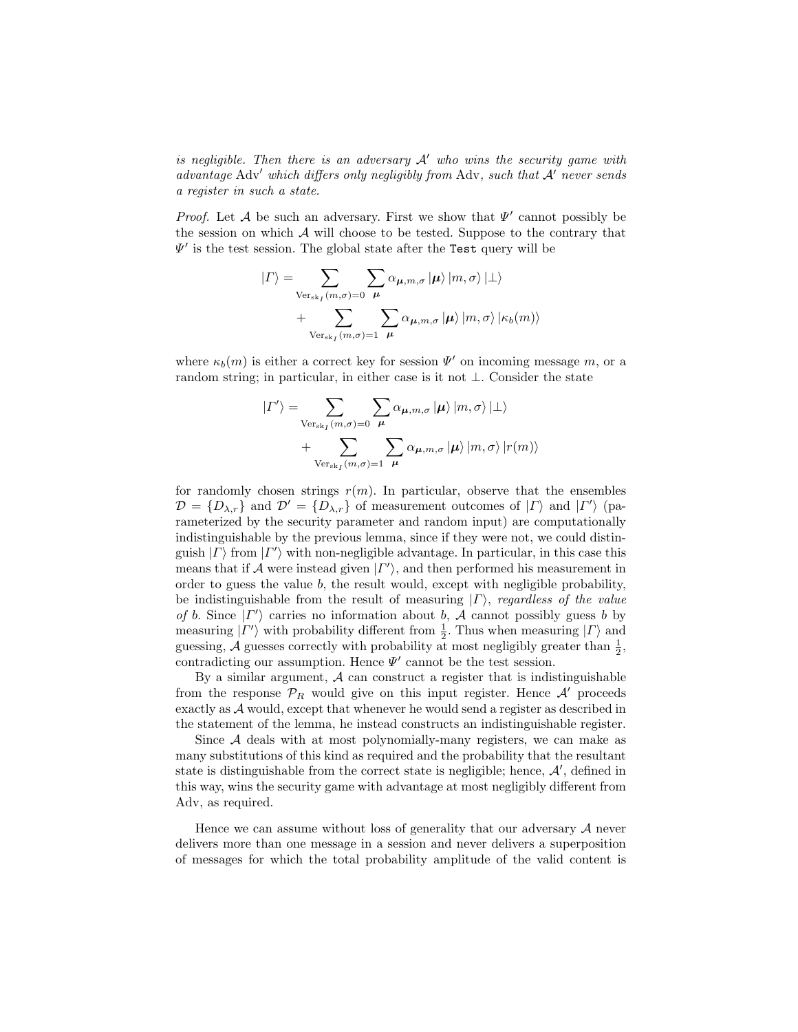is negligible. Then there is an adversary  $A'$  who wins the security game with advantage Adv' which differs only negligibly from Adv, such that  $\mathcal{A}'$  never sends a register in such a state.

*Proof.* Let A be such an adversary. First we show that  $\Psi'$  cannot possibly be the session on which  $\mathcal A$  will choose to be tested. Suppose to the contrary that  $\Psi'$  is the test session. The global state after the Test query will be

$$
|\Gamma\rangle = \sum_{\text{Ver}_{\text{sk}_I}(m,\sigma)=0} \sum_{\mu} \alpha_{\mu,m,\sigma} |\mu\rangle |m,\sigma\rangle | \perp\rangle
$$
  
+ 
$$
\sum_{\text{Ver}_{\text{sk}_I}(m,\sigma)=1} \sum_{\mu} \alpha_{\mu,m,\sigma} |\mu\rangle |m,\sigma\rangle |\kappa_b(m)\rangle
$$

where  $\kappa_b(m)$  is either a correct key for session  $\Psi'$  on incoming message m, or a random string; in particular, in either case is it not  $\bot$ . Consider the state

$$
|\Gamma'\rangle = \sum_{\text{Ver}_{\text{sk}_I}(m,\sigma)=0} \sum_{\mu} \alpha_{\mu,m,\sigma} |\mu\rangle |m,\sigma\rangle | \perp\rangle
$$
  
+ 
$$
\sum_{\text{Ver}_{\text{sk}_I}(m,\sigma)=1} \sum_{\mu} \alpha_{\mu,m,\sigma} |\mu\rangle |m,\sigma\rangle |r(m)\rangle
$$

for randomly chosen strings  $r(m)$ . In particular, observe that the ensembles  $\mathcal{D} = \{D_{\lambda,r}\}\$ and  $\mathcal{D}' = \{D_{\lambda,r}\}\$  of measurement outcomes of  $|\Gamma\rangle$  and  $|\Gamma'\rangle$  (parameterized by the security parameter and random input) are computationally indistinguishable by the previous lemma, since if they were not, we could distinguish  $| \Gamma \rangle$  from  $| \Gamma' \rangle$  with non-negligible advantage. In particular, in this case this means that if A were instead given  $| \Gamma' \rangle$ , and then performed his measurement in order to guess the value  $b$ , the result would, except with negligible probability, be indistinguishable from the result of measuring  $| \Gamma \rangle$ , regardless of the value of b. Since  $|\Gamma'\rangle$  carries no information about b, A cannot possibly guess b by measuring  $|\Gamma'\rangle$  with probability different from  $\frac{1}{2}$ . Thus when measuring  $|\Gamma\rangle$  and guessing,  $\mathcal A$  guesses correctly with probability at most negligibly greater than  $\frac{1}{2}$ , contradicting our assumption. Hence  $\Psi'$  cannot be the test session.

By a similar argument,  $A$  can construct a register that is indistinguishable from the response  $\mathcal{P}_R$  would give on this input register. Hence  $\mathcal{A}'$  proceeds exactly as A would, except that whenever he would send a register as described in the statement of the lemma, he instead constructs an indistinguishable register.

Since A deals with at most polynomially-many registers, we can make as many substitutions of this kind as required and the probability that the resultant state is distinguishable from the correct state is negligible; hence,  $A'$ , defined in this way, wins the security game with advantage at most negligibly different from Adv, as required.

Hence we can assume without loss of generality that our adversary  $A$  never delivers more than one message in a session and never delivers a superposition of messages for which the total probability amplitude of the valid content is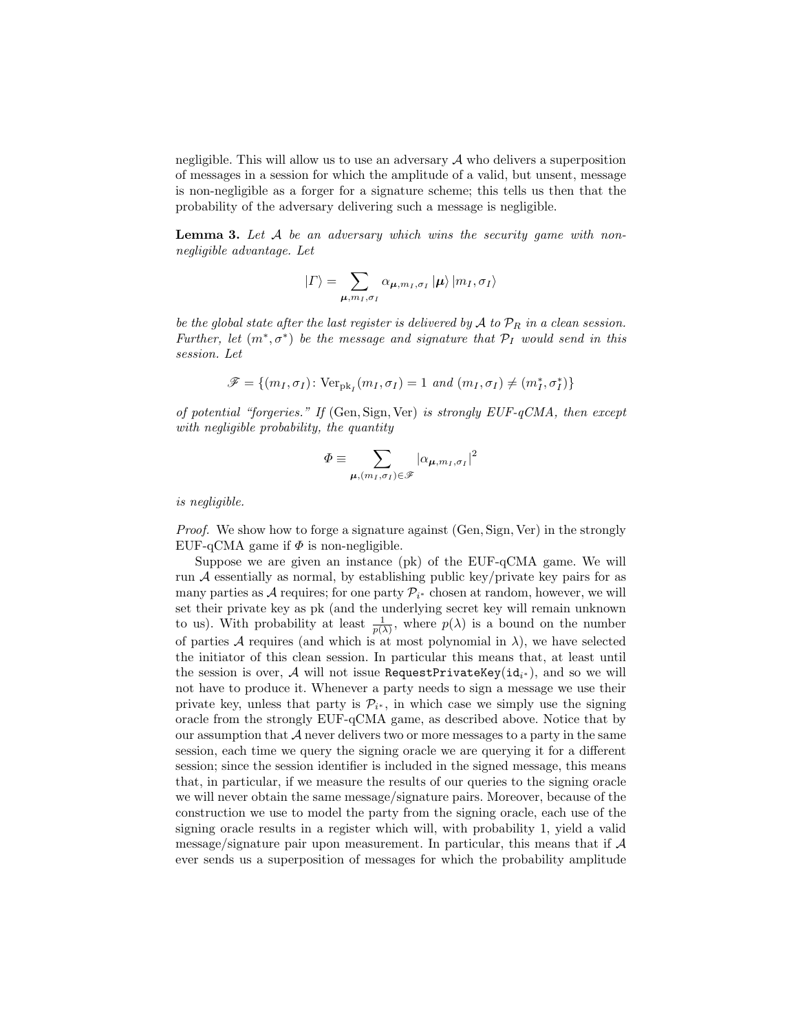negligible. This will allow us to use an adversary  $A$  who delivers a superposition of messages in a session for which the amplitude of a valid, but unsent, message is non-negligible as a forger for a signature scheme; this tells us then that the probability of the adversary delivering such a message is negligible.

<span id="page-23-0"></span>**Lemma 3.** Let A be an adversary which wins the security game with nonnegligible advantage. Let

$$
\left| \varGamma \right\rangle =\sum_{\boldsymbol{\mu},m_{I},\sigma_{I}}\alpha_{\boldsymbol{\mu},m_{I},\sigma_{I}}\left| \boldsymbol{\mu}\right\rangle \left| m_{I},\sigma_{I}\right\rangle
$$

be the global state after the last register is delivered by  $A$  to  $\mathcal{P}_R$  in a clean session. Further, let  $(m^*, \sigma^*)$  be the message and signature that  $\mathcal{P}_I$  would send in this session. Let

$$
\mathscr{F} = \{ (m_I, \sigma_I) \colon \text{Ver}_{\text{pk}_I}(m_I, \sigma_I) = 1 \text{ and } (m_I, \sigma_I) \neq (m_I^*, \sigma_I^*) \}
$$

of potential "forgeries." If  $(\text{Gen}, \text{Sign}, \text{Ver})$  is strongly  $EUF-qCMA$ , then except with negligible probability, the quantity

$$
\varPhi \equiv \sum_{\boldsymbol{\mu},(m_I,\sigma_I) \in \mathscr{F}} |\alpha_{\boldsymbol{\mu},m_I,\sigma_I}|^2
$$

is negligible.

Proof. We show how to forge a signature against (Gen, Sign, Ver) in the strongly EUF-qCMA game if  $\Phi$  is non-negligible.

Suppose we are given an instance (pk) of the EUF-qCMA game. We will run  $\mathcal A$  essentially as normal, by establishing public key/private key pairs for as many parties as A requires; for one party  $\mathcal{P}_{i^*}$  chosen at random, however, we will set their private key as pk (and the underlying secret key will remain unknown to us). With probability at least  $\frac{1}{p(\lambda)}$ , where  $p(\lambda)$  is a bound on the number of parties  $A$  requires (and which is at most polynomial in  $\lambda$ ), we have selected the initiator of this clean session. In particular this means that, at least until the session is over,  ${\cal A}$  will not issue RequestPrivateKey(id $_{i^*}$ ), and so we will not have to produce it. Whenever a party needs to sign a message we use their private key, unless that party is  $\mathcal{P}_{i^*}$ , in which case we simply use the signing oracle from the strongly EUF-qCMA game, as described above. Notice that by our assumption that  $A$  never delivers two or more messages to a party in the same session, each time we query the signing oracle we are querying it for a different session; since the session identifier is included in the signed message, this means that, in particular, if we measure the results of our queries to the signing oracle we will never obtain the same message/signature pairs. Moreover, because of the construction we use to model the party from the signing oracle, each use of the signing oracle results in a register which will, with probability 1, yield a valid message/signature pair upon measurement. In particular, this means that if A ever sends us a superposition of messages for which the probability amplitude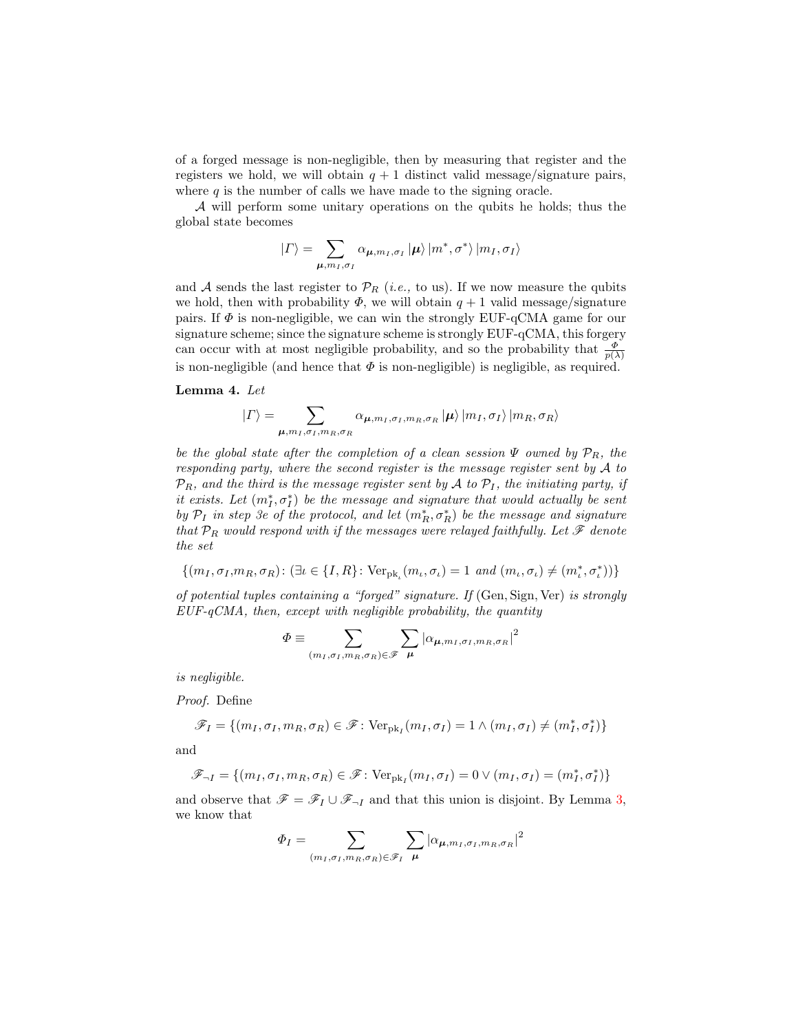of a forged message is non-negligible, then by measuring that register and the registers we hold, we will obtain  $q + 1$  distinct valid message/signature pairs, where  $q$  is the number of calls we have made to the signing oracle.

A will perform some unitary operations on the qubits he holds; thus the global state becomes

$$
\left| \varGamma \right\rangle =\sum_{\boldsymbol{\mu},m_{I},\sigma_{I}}\alpha_{\boldsymbol{\mu},m_{I},\sigma_{I}}\left| \boldsymbol{\mu}\right\rangle \left| m^{\ast},\sigma^{\ast}\right\rangle \left| m_{I},\sigma_{I}\right\rangle
$$

and A sends the last register to  $\mathcal{P}_R$  (*i.e.*, to us). If we now measure the qubits we hold, then with probability  $\Phi$ , we will obtain  $q + 1$  valid message/signature pairs. If  $\Phi$  is non-negligible, we can win the strongly EUF-qCMA game for our signature scheme; since the signature scheme is strongly EUF-qCMA, this forgery can occur with at most negligible probability, and so the probability that  $\frac{\Phi}{p(\lambda)}$ is non-negligible (and hence that  $\Phi$  is non-negligible) is negligible, as required.

### <span id="page-24-0"></span>Lemma 4. Let

$$
|\Gamma\rangle = \sum_{\mu,m_I,\sigma_I,m_R,\sigma_R} \alpha_{\mu,m_I,\sigma_I,m_R,\sigma_R} |\mu\rangle |m_I,\sigma_I\rangle |m_R,\sigma_R\rangle
$$

be the global state after the completion of a clean session  $\Psi$  owned by  $\mathcal{P}_R$ , the responding party, where the second register is the message register sent by A to  $\mathcal{P}_R$ , and the third is the message register sent by A to  $\mathcal{P}_I$ , the initiating party, if it exists. Let  $(m_I^*, \sigma_I^*)$  be the message and signature that would actually be sent by  $\mathcal{P}_I$  in step 3e of the protocol, and let  $(m_R^*, \sigma_R^*)$  be the message and signature that  $\mathcal{P}_R$  would respond with if the messages were relayed faithfully. Let  $\mathscr F$  denote the set

$$
\{(m_I, \sigma_I, m_R, \sigma_R): (\exists \iota \in \{I, R\} : \text{Ver}_{\text{pk}_\iota}(m_\iota, \sigma_\iota) = 1 \text{ and } (m_\iota, \sigma_\iota) \neq (m_\iota^*, \sigma_\iota^*))\}
$$

of potential tuples containing a "forged" signature. If (Gen, Sign, Ver) is strongly  $EUF-qCMA$ , then, except with negligible probability, the quantity

$$
\Phi \equiv \sum_{(m_I, \sigma_I, m_R, \sigma_R) \in \mathscr{F}} \sum_{\mu} |\alpha_{\mu, m_I, \sigma_I, m_R, \sigma_R}|^2
$$

is negligible.

Proof. Define

$$
\mathscr{F}_I = \{(m_I, \sigma_I, m_R, \sigma_R) \in \mathscr{F} \colon \text{Ver}_{pk_I}(m_I, \sigma_I) = 1 \land (m_I, \sigma_I) \neq (m_I^*, \sigma_I^*)\}
$$

and

$$
\mathscr{F}_{\neg I} = \{(m_I, \sigma_I, m_R, \sigma_R) \in \mathscr{F} \colon \text{Ver}_{\text{pk}_I}(m_I, \sigma_I) = 0 \lor (m_I, \sigma_I) = (m_I^*, \sigma_I^*)\}
$$

and observe that  $\mathscr{F} = \mathscr{F}_I \cup \mathscr{F}_{\neg I}$  and that this union is disjoint. By Lemma [3,](#page-23-0) we know that

$$
\Phi_I = \sum_{(m_I, \sigma_I, m_R, \sigma_R) \in \mathcal{F}_I} \sum_{\mu} |\alpha_{\mu, m_I, \sigma_I, m_R, \sigma_R}|^2
$$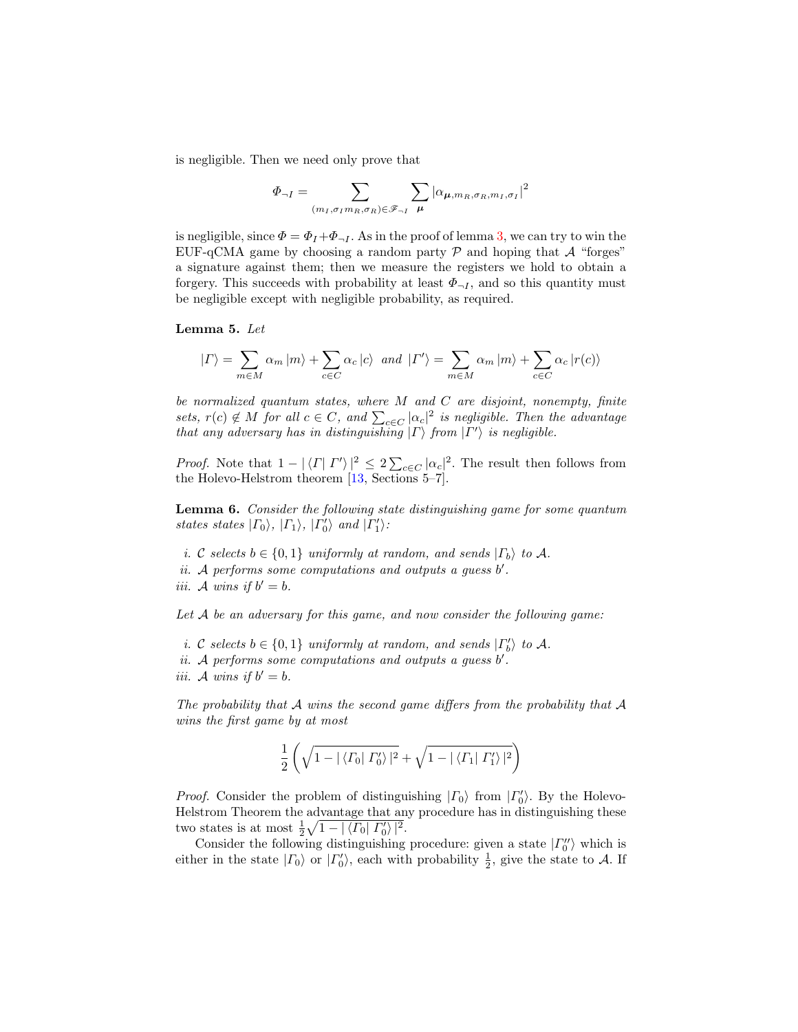is negligible. Then we need only prove that

$$
\Phi_{\neg I} = \sum_{(m_I, \sigma_I m_R, \sigma_R) \in \mathscr{F}_{\neg I}} \sum_{\mu} |\alpha_{\mu, m_R, \sigma_R, m_I, \sigma_I}|^2
$$

is negligible, since  $\Phi = \Phi_I + \Phi_{\neg I}$ . As in the proof of lemma [3,](#page-23-0) we can try to win the EUF-qCMA game by choosing a random party  $P$  and hoping that  $A$  "forges" a signature against them; then we measure the registers we hold to obtain a forgery. This succeeds with probability at least  $\Phi_{\neg I}$ , and so this quantity must be negligible except with negligible probability, as required.

Lemma 5. Let

$$
\left| \varGamma \right\rangle = \sum_{m \in M} \alpha_m \left| m \right\rangle + \sum_{c \in C} \alpha_c \left| c \right\rangle \; \; and \; \; \left| \varGamma' \right\rangle = \sum_{m \in M} \alpha_m \left| m \right\rangle + \sum_{c \in C} \alpha_c \left| r(c) \right\rangle
$$

be normalized quantum states, where  $M$  and  $C$  are disjoint, nonempty, finite sets,  $r(c) \notin M$  for all  $c \in C$ , and  $\sum_{c \in C} |\alpha_c|^2$  is negligible. Then the advantage that any adversary has in distinguishing  $| \Gamma \rangle$  from  $| \Gamma' \rangle$  is negligible.

*Proof.* Note that  $1 - |\langle \Gamma | \Gamma' \rangle|^2 \leq 2 \sum_{c \in C} |\alpha_c|^2$ . The result then follows from the Holevo-Helstrom theorem [\[13,](#page-17-15) Sections 5–7].

<span id="page-25-0"></span>Lemma 6. Consider the following state distinguishing game for some quantum states states  $|\Gamma_0\rangle$ ,  $|\Gamma_1\rangle$ ,  $|\Gamma'_0\rangle$  and  $|\Gamma'_1\rangle$ :

i. C selects  $b \in \{0,1\}$  uniformly at random, and sends  $|\Gamma_b\rangle$  to A.  $ii.$  A performs some computations and outputs a guess  $b'$ . iii. A wins if  $b' = b$ .

Let A be an adversary for this game, and now consider the following game:

- i. C selects  $b \in \{0,1\}$  uniformly at random, and sends  $|\Gamma'_b\rangle$  to A.
- $ii.$  A performs some computations and outputs a guess  $b'$ .
- iii. A wins if  $b' = b$ .

The probability that  $\mathcal A$  wins the second game differs from the probability that  $\mathcal A$ wins the first game by at most

$$
\frac{1}{2}\left(\sqrt{1-|\langle\varGamma_0|\varGamma_0'\rangle|^2}+\sqrt{1-|\langle\varGamma_1|\varGamma_1'\rangle|^2}\right)
$$

*Proof.* Consider the problem of distinguishing  $| \Gamma_0 \rangle$  from  $| \Gamma_0' \rangle$ . By the Holevo-Helstrom Theorem the advantage that any procedure has in distinguishing these two states is at most  $\frac{1}{2}\sqrt{1-|\langle\Gamma_0|\Gamma'_0\rangle|^2}$ .

Consider the following distinguishing procedure: given a state  $| \Gamma_0'' \rangle$  which is either in the state  $| \Gamma_0 \rangle$  or  $| \Gamma_0' \rangle$ , each with probability  $\frac{1}{2}$ , give the state to A. If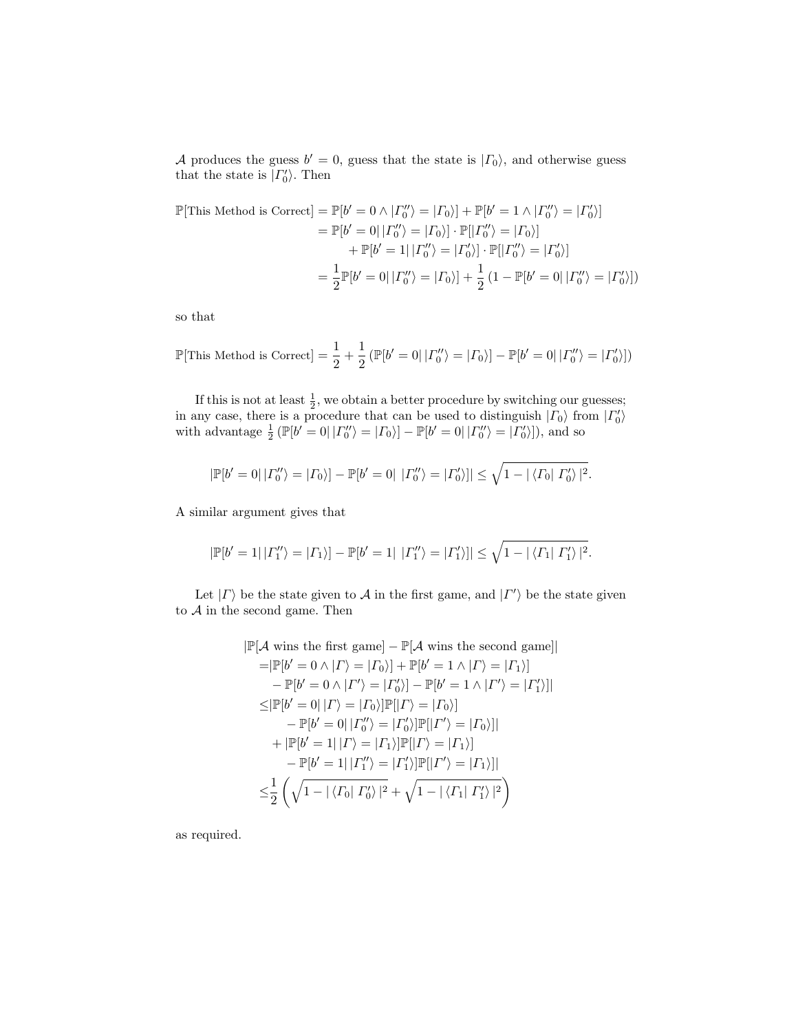A produces the guess  $b' = 0$ , guess that the state is  $| \Gamma_0 \rangle$ , and otherwise guess that the state is  $| \Gamma_0' \rangle$ . Then

$$
\mathbb{P}[\text{This Method is Correct}] = \mathbb{P}[b' = 0 \land |T''_0\rangle = |T_0\rangle] + \mathbb{P}[b' = 1 \land |T''_0\rangle = |T'_0\rangle]
$$

$$
= \mathbb{P}[b' = 0| |T''_0\rangle = |T_0\rangle] \cdot \mathbb{P}[|T''_0\rangle = |T_0\rangle]
$$

$$
+ \mathbb{P}[b' = 1| |T''_0\rangle = |T'_0\rangle] \cdot \mathbb{P}[|T''_0\rangle = |T'_0\rangle]
$$

$$
= \frac{1}{2} \mathbb{P}[b' = 0| |T''_0\rangle = |T_0\rangle] + \frac{1}{2} (1 - \mathbb{P}[b' = 0| |T''_0\rangle = |T'_0\rangle])
$$

so that

$$
\mathbb{P}[\text{This Method is Correct}] = \frac{1}{2} + \frac{1}{2} \left( \mathbb{P}[b' = 0 | | \Gamma_0'' \rangle = |\Gamma_0 \rangle \right] - \mathbb{P}[b' = 0 | | \Gamma_0'' \rangle = |\Gamma_0' \rangle])
$$

If this is not at least  $\frac{1}{2}$ , we obtain a better procedure by switching our guesses; in any case, there is a procedure that can be used to distinguish  $| \Gamma_0 \rangle$  from  $| \Gamma'_0 \rangle$ with advantage  $\frac{1}{2}$  ( $\mathbb{P}[b'=0| |T''_0\rangle = |T_0\rangle] - \mathbb{P}[b'=0| |T''_0\rangle = |T'_0\rangle]$ ), and so

$$
|\mathbb{P}[b'=0| | \Gamma_0''\rangle = |\Gamma_0\rangle] - \mathbb{P}[b'=0| | \Gamma_0''\rangle = |\Gamma_0'\rangle]| \le \sqrt{1 - |\langle \Gamma_0| \Gamma_0'\rangle|^2}.
$$

A similar argument gives that

$$
|\mathbb{P}[b'=1|\,|{\Gamma''_1}\rangle=|{\Gamma_1}\rangle]-\mathbb{P}[b'=1|\,\,|{\Gamma''_1}\rangle=|{\Gamma'_1}\rangle]|\leq \sqrt{1-|\langle{\Gamma_1}|\,{\Gamma'_1}\rangle\,|^2}.
$$

Let  $| \Gamma \rangle$  be the state given to A in the first game, and  $| \Gamma' \rangle$  be the state given to  $A$  in the second game. Then

$$
|\mathbb{P}[A \text{ wins the first game}] - \mathbb{P}[A \text{ wins the second game}]|
$$
\n
$$
= |\mathbb{P}[b' = 0 \land | \Gamma \rangle = | \Gamma_0 \rangle] + \mathbb{P}[b' = 1 \land | \Gamma \rangle = | \Gamma_1 \rangle]
$$
\n
$$
- \mathbb{P}[b' = 0 \land | \Gamma' \rangle = | \Gamma'_0 \rangle] - \mathbb{P}[b' = 1 \land | \Gamma' \rangle = | \Gamma'_1 \rangle]|
$$
\n
$$
\leq |\mathbb{P}[b' = 0 | | \Gamma \rangle = | \Gamma_0 \rangle] \mathbb{P}[| \Gamma \rangle = | \Gamma_0 \rangle]
$$
\n
$$
- \mathbb{P}[b' = 0 | | \Gamma'_0 \rangle = | \Gamma'_0 \rangle] \mathbb{P}[| \Gamma' \rangle = | \Gamma_0 \rangle]|
$$
\n
$$
+ |\mathbb{P}[b' = 1 | | \Gamma \rangle = | \Gamma_1 \rangle] \mathbb{P}[| \Gamma \rangle = | \Gamma_1 \rangle]
$$
\n
$$
- \mathbb{P}[b' = 1 | | \Gamma''_1 \rangle = | \Gamma'_1 \rangle] \mathbb{P}[| \Gamma' \rangle = | \Gamma_1 \rangle]|
$$
\n
$$
\leq \frac{1}{2} \left( \sqrt{1 - | \langle \Gamma_0 | \Gamma'_0 \rangle |^2} + \sqrt{1 - | \langle \Gamma_1 | \Gamma'_1 \rangle |^2} \right)
$$

<span id="page-26-0"></span>as required.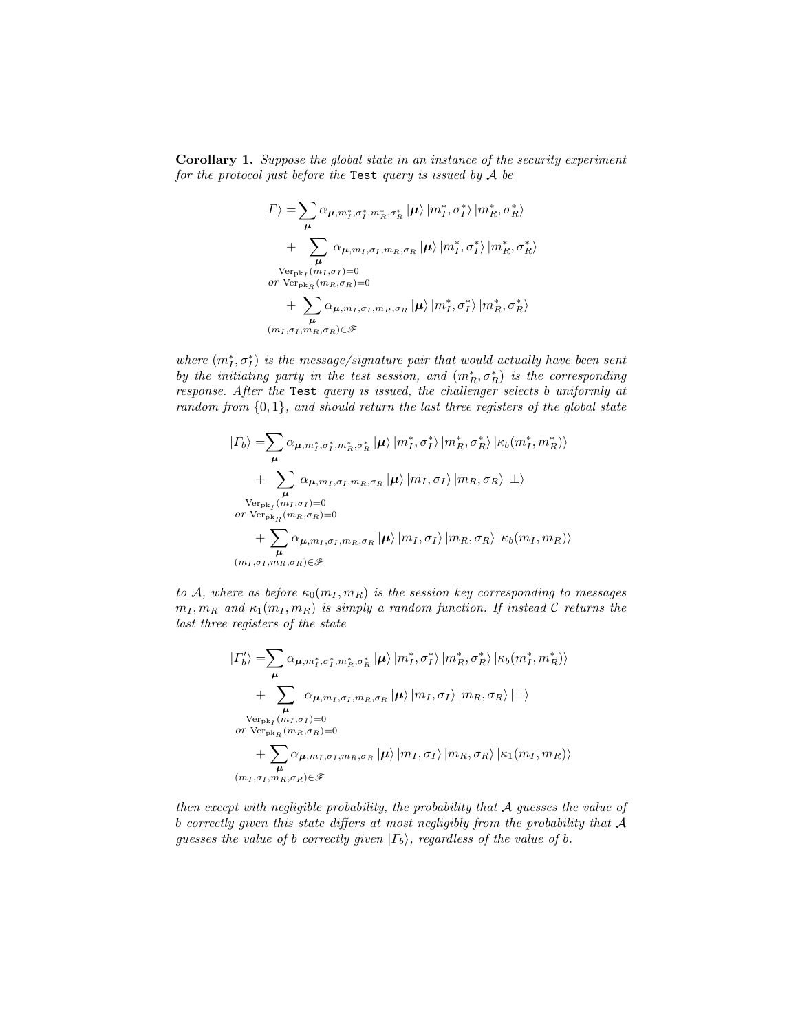Corollary 1. Suppose the global state in an instance of the security experiment for the protocol just before the Test query is issued by  $A$  be

$$
\begin{split} \left| \varGamma \right\rangle =& \sum_{\mu} \alpha_{\mu, m_{I}^{*}, \sigma_{I}^{*}, m_{R}^{*}, \sigma_{R}^{*}} \left| \mu \right\rangle \left| m_{I}^{*}, \sigma_{I}^{*} \right\rangle \left| m_{R}^{*}, \sigma_{R}^{*} \right\rangle \\ &+ \sum_{\mu} \alpha_{\mu, m_{I}, \sigma_{I}, m_{R}, \sigma_{R}} \left| \mu \right\rangle \left| m_{I}^{*}, \sigma_{I}^{*} \right\rangle \left| m_{R}^{*}, \sigma_{R}^{*} \right\rangle \\ &\text{Ver}_{\text{pk}_{I}}(\mathbf{m}_{I}, \sigma_{I})=0 \\ &\text{or } \text{Ver}_{\text{pk}_{R}}(\mathbf{m}_{R}, \sigma_{R})=0 \\ &+ \sum_{\mu} \alpha_{\mu, m_{I}, \sigma_{I}, m_{R}, \sigma_{R}} \left| \mu \right\rangle \left| m_{I}^{*}, \sigma_{I}^{*} \right\rangle \left| m_{R}^{*}, \sigma_{R}^{*} \right\rangle \\ &\left(\mathbf{m}_{I}, \sigma_{I}, \mathbf{m}_{R}, \sigma_{R}\right) \in \mathcal{F} \end{split}
$$

where  $(m_I^*, \sigma_I^*)$  is the message/signature pair that would actually have been sent by the initiating party in the test session, and  $(m<sub>R</sub><sup>*</sup>, \sigma<sub>R</sub><sup>*</sup>)$  is the corresponding response. After the Test query is issued, the challenger selects b uniformly at  $random from  $\{0,1\}$ , and should return the last three registers of the global state$ 

$$
| \Gamma_b \rangle = \sum_{\mu} \alpha_{\mu, m_I^*, \sigma_I^*, m_R^*, \sigma_R^*} | \mu \rangle | m_I^*, \sigma_I^* \rangle | m_R^*, \sigma_R^* \rangle | \kappa_b(m_I^*, m_R^*) \rangle + \sum_{\mu} \alpha_{\mu, m_I, \sigma_I, m_R, \sigma_R} | \mu \rangle | m_I, \sigma_I \rangle | m_R, \sigma_R \rangle | \bot \rangle \n\text{Ver}_{\text{pk}_I}(m_I, \sigma_I) = 0 \n\text{or Ver}_{\text{pk}_R}(m_R, \sigma_R) = 0 + \sum_{\mu} \alpha_{\mu, m_I, \sigma_I, m_R, \sigma_R} | \mu \rangle | m_I, \sigma_I \rangle | m_R, \sigma_R \rangle | \kappa_b(m_I, m_R) \rangle \n(m_I, \sigma_I, m_R, \sigma_R) \in \mathcal{F}
$$

to A, where as before  $\kappa_0(m_I, m_R)$  is the session key corresponding to messages  $m_I, m_R$  and  $\kappa_1(m_I, m_R)$  is simply a random function. If instead C returns the last three registers of the state

$$
| \Gamma'_b \rangle = \sum_{\mu} \alpha_{\mu, m_I^*, \sigma_I^*, m_R^*, \sigma_R^*} | \mu \rangle | m_I^*, \sigma_I^* \rangle | m_R^*, \sigma_R^* \rangle | \kappa_b(m_I^*, m_R^*) \rangle + \sum_{\mu} \alpha_{\mu, m_I, \sigma_I, m_R, \sigma_R} | \mu \rangle | m_I, \sigma_I \rangle | m_R, \sigma_R \rangle | \bot \rangle \n\operatorname{Ver}_{\operatorname{pk}_I}(m_I, \sigma_I) = 0 \nor \operatorname{Ver}_{\operatorname{pk}_R}(m_R, \sigma_R) = 0 + \sum_{\mu} \alpha_{\mu, m_I, \sigma_I, m_R, \sigma_R} | \mu \rangle | m_I, \sigma_I \rangle | m_R, \sigma_R \rangle | \kappa_1(m_I, m_R) \rangle \n(m_I, \sigma_I, m_R, \sigma_R) \in \mathcal{F}
$$

<span id="page-27-0"></span>then except with negligible probability, the probability that A guesses the value of b correctly given this state differs at most negligibly from the probability that A guesses the value of b correctly given  $| \Gamma_b \rangle$ , regardless of the value of b.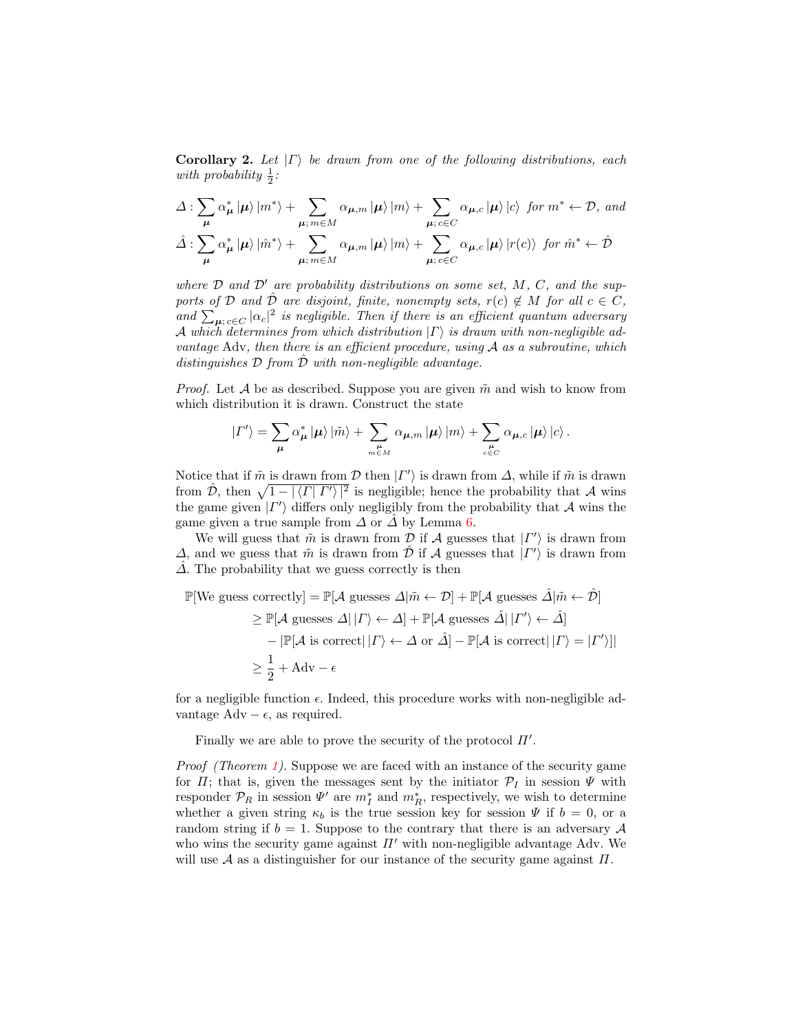**Corollary 2.** Let  $|\Gamma\rangle$  be drawn from one of the following distributions, each with probability  $\frac{1}{2}$ :

$$
\Delta : \sum_{\mu} \alpha_{\mu}^* |\mu\rangle |m^* \rangle + \sum_{\mu; m \in M} \alpha_{\mu, m} |\mu\rangle |m\rangle + \sum_{\mu; c \in C} \alpha_{\mu, c} |\mu\rangle |c\rangle \text{ for } m^* \leftarrow \mathcal{D}, \text{ and}
$$
  

$$
\hat{\Delta} : \sum_{\mu} \alpha_{\mu}^* |\mu\rangle |m^* \rangle + \sum_{\mu; m \in M} \alpha_{\mu, m} |\mu\rangle |m\rangle + \sum_{\mu; c \in C} \alpha_{\mu, c} |\mu\rangle |r(c)\rangle \text{ for } \hat{m}^* \leftarrow \hat{\mathcal{D}}
$$

where  $D$  and  $D'$  are probability distributions on some set,  $M$ ,  $C$ , and the supports of D and  $\hat{\mathcal{D}}$  are disjoint, finite, nonempty sets,  $r(c) \notin M$  for all  $c \in C$ , and  $\sum_{\mu; c \in C} |\alpha_c|^2$  is negligible. Then if there is an efficient quantum adversary A which determines from which distribution  $|\Gamma\rangle$  is drawn with non-negligible advantage Adv, then there is an efficient procedure, using  $A$  as a subroutine, which distinguishes  $D$  from  $\tilde{D}$  with non-negligible advantage.

*Proof.* Let A be as described. Suppose you are given  $\tilde{m}$  and wish to know from which distribution it is drawn. Construct the state

$$
\left| \varGamma'\right> = \sum_{\pmb{\mu}} \alpha_{\pmb{\mu}}^* \left| \pmb{\mu}\right> \left| \tilde{m} \right> + \sum_{m \in M} \alpha_{\pmb{\mu},m} \left| \pmb{\mu}\right> \left| m\right> + \sum_{c \in C} \alpha_{\pmb{\mu},c} \left| \pmb{\mu}\right> \left| c\right>.
$$

Notice that if  $\tilde{m}$  is drawn from  $\mathcal{D}$  then  $| \Gamma' \rangle$  is drawn from  $\Delta$ , while if  $\tilde{m}$  is drawn from  $\hat{\mathcal{D}}$ , then  $\sqrt{1 - |\langle \Gamma | \Gamma' \rangle|^2}$  is negligible; hence the probability that A wins the game given  $| \Gamma' \rangle$  differs only negligibly from the probability that A wins the game given a true sample from  $\Delta$  or  $\overline{\Delta}$  by Lemma [6.](#page-25-0)

We will guess that  $\tilde{m}$  is drawn from  $\mathcal D$  if  $\mathcal A$  guesses that  $|\Gamma'\rangle$  is drawn from  $\Delta$ , and we guess that  $\tilde{m}$  is drawn from  $\hat{\mathcal{D}}$  if  $\mathcal A$  guesses that  $|\Gamma'\rangle$  is drawn from  $\Delta$ . The probability that we guess correctly is then

$$
\mathbb{P}[\text{We guess correctly}] = \mathbb{P}[\mathcal{A} \text{ guesses } \Delta | \tilde{m} \leftarrow \mathcal{D}] + \mathbb{P}[\mathcal{A} \text{ guesses } \hat{\Delta} | \tilde{m} \leftarrow \hat{\mathcal{D}}]
$$
\n
$$
\geq \mathbb{P}[\mathcal{A} \text{ guesses } \Delta | | \Gamma \rangle \leftarrow \Delta] + \mathbb{P}[\mathcal{A} \text{ guesses } \hat{\Delta} | | \Gamma' \rangle \leftarrow \hat{\Delta}]
$$
\n
$$
- |\mathbb{P}[\mathcal{A} \text{ is correct}| | \Gamma \rangle \leftarrow \Delta \text{ or } \hat{\Delta}] - \mathbb{P}[\mathcal{A} \text{ is correct}| | \Gamma \rangle = | \Gamma' \rangle ]|
$$
\n
$$
\geq \frac{1}{2} + \text{Adv} - \epsilon
$$

for a negligible function  $\epsilon$ . Indeed, this procedure works with non-negligible advantage Adv –  $\epsilon$ , as required.

Finally we are able to prove the security of the protocol  $\Pi'$ .

Proof (Theorem [1\)](#page-11-1). Suppose we are faced with an instance of the security game for  $\Pi$ ; that is, given the messages sent by the initiator  $\mathcal{P}_I$  in session  $\Psi$  with responder  $\mathcal{P}_R$  in session  $\Psi'$  are  $m_I^*$  and  $m_R^*$ , respectively, we wish to determine whether a given string  $\kappa_b$  is the true session key for session  $\Psi$  if  $b = 0$ , or a random string if  $b = 1$ . Suppose to the contrary that there is an adversary A who wins the security game against  $\Pi'$  with non-negligible advantage Adv. We will use  $\mathcal A$  as a distinguisher for our instance of the security game against  $\Pi$ .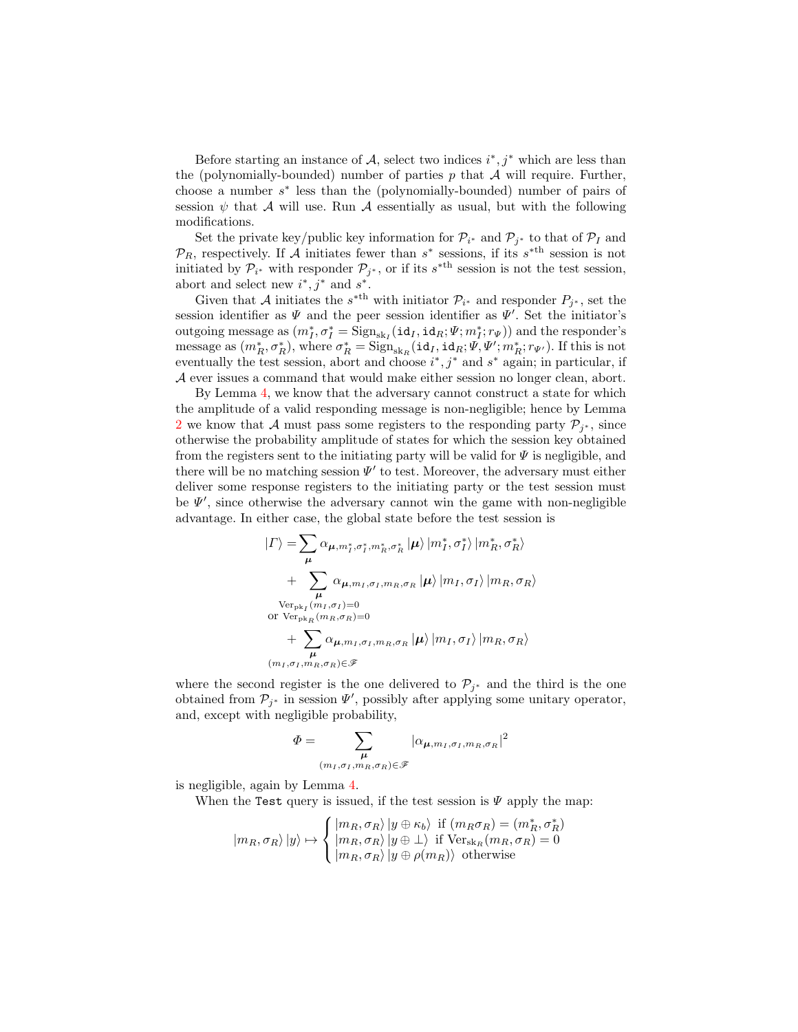Before starting an instance of  $A$ , select two indices  $i^*, j^*$  which are less than the (polynomially-bounded) number of parties  $p$  that  $A$  will require. Further, choose a number  $s^*$  less than the (polynomially-bounded) number of pairs of session  $\psi$  that A will use. Run A essentially as usual, but with the following modifications.

Set the private key/public key information for  $\mathcal{P}_{i^*}$  and  $\mathcal{P}_{j^*}$  to that of  $\mathcal{P}_I$  and  $\mathcal{P}_R$ , respectively. If A initiates fewer than  $s^*$  sessions, if its  $s^{*th}$  session is not initiated by  $\mathcal{P}_{i^*}$  with responder  $\mathcal{P}_{j^*}$ , or if its  $s^{*th}$  session is not the test session, abort and select new  $i^*, j^*$  and  $s^*$ .

Given that A initiates the  $s^{*th}$  with initiator  $\mathcal{P}_{i^*}$  and responder  $P_{j^*}$ , set the session identifier as  $\Psi$  and the peer session identifier as  $\Psi'$ . Set the initiator's outgoing message as  $(m_I^*, \sigma_I^* = \text{Sign}_{sk_I}(\text{id}_I, \text{id}_R; \Psi; m_I^*; r_{\Psi}))$  and the responder's message as  $(m_R^*, \sigma_R^*)$ , where  $\sigma_R^* = \text{Sign}_{sk_R}(\text{id}_I, \text{id}_R; \Psi, \Psi'; m_R^*; r_{\Psi'})$ . If this is not eventually the test session, abort and choose  $i^*, j^*$  and  $s^*$  again; in particular, if A ever issues a command that would make either session no longer clean, abort.

By Lemma [4,](#page-24-0) we know that the adversary cannot construct a state for which the amplitude of a valid responding message is non-negligible; hence by Lemma [2](#page-21-0) we know that A must pass some registers to the responding party  $\mathcal{P}_{j^*}$ , since otherwise the probability amplitude of states for which the session key obtained from the registers sent to the initiating party will be valid for  $\Psi$  is negligible, and there will be no matching session  $\Psi'$  to test. Moreover, the adversary must either deliver some response registers to the initiating party or the test session must be  $\Psi'$ , since otherwise the adversary cannot win the game with non-negligible advantage. In either case, the global state before the test session is

$$
|\Gamma\rangle = \sum_{\mu} \alpha_{\mu, m_I^*, \sigma_I^*, m_R^*, \sigma_R^*} |\mu\rangle |m_I^*, \sigma_I^* \rangle |m_R^*, \sigma_R^* \rangle
$$
  
+ 
$$
\sum_{\mu} \alpha_{\mu, m_I, \sigma_I, m_R, \sigma_R} |\mu\rangle |m_I, \sigma_I \rangle |m_R, \sigma_R \rangle
$$
  
Ver<sub>pk\_I</sub>(m\_I, \sigma\_I)=0  
or Ver<sub>pk\_R</sub>(m\_R, \sigma\_R)=0  
+ 
$$
\sum_{\mu} \alpha_{\mu, m_I, \sigma_I, m_R, \sigma_R} |\mu\rangle |m_I, \sigma_I \rangle |m_R, \sigma_R \rangle
$$
  
(m\_I, \sigma\_I, m\_R, \sigma\_R) \in \mathcal{F}

where the second register is the one delivered to  $\mathcal{P}_{j^*}$  and the third is the one obtained from  $\mathcal{P}_{j^*}$  in session  $\Psi'$ , possibly after applying some unitary operator, and, except with negligible probability,

$$
\Phi = \sum_{\substack{\mu \\ (m_I, \sigma_I, m_R, \sigma_R) \in \mathscr{F}}} |\alpha_{\mu, m_I, \sigma_I, m_R, \sigma_R}|^2
$$

is negligible, again by Lemma [4.](#page-24-0)

When the Test query is issued, if the test session is  $\Psi$  apply the map:

$$
|m_R, \sigma_R \rangle |y\rangle \mapsto \begin{cases} |m_R, \sigma_R \rangle |y \oplus \kappa_b \rangle & \text{if } (m_R \sigma_R) = (m_R^*, \sigma_R^*) \\ |m_R, \sigma_R \rangle |y \oplus \bot \rangle & \text{if } \text{Ver}_{\text{sk}_R}(m_R, \sigma_R) = 0 \\ |m_R, \sigma_R \rangle |y \oplus \rho(m_R) \rangle & \text{otherwise} \end{cases}
$$